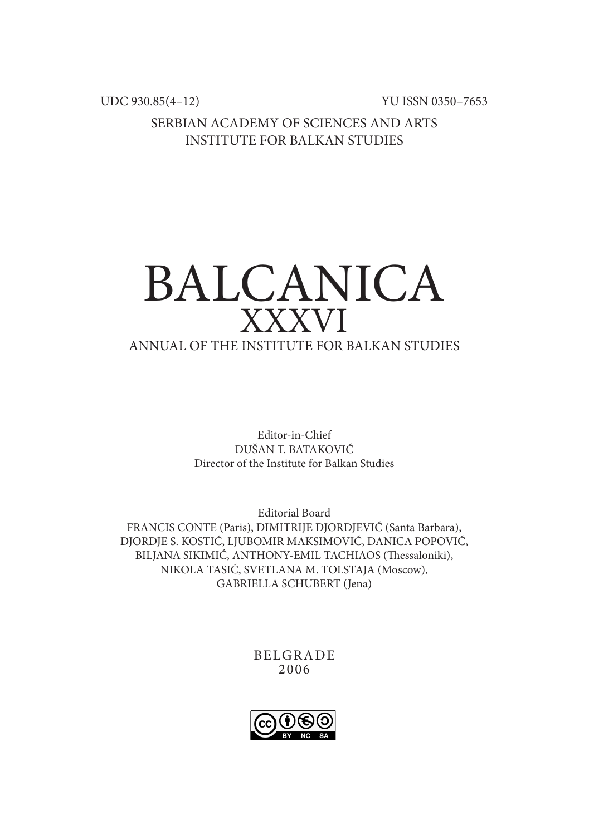UDC 930.85(4–12) YU ISSN 0350–7653

SERBIAN ACADEMY OF SCIENCES AND ARTS INSTITUTE FOR BALKAN STUDIES

## BALCANICA XXXVI ANNUAL OF THE INSTITUTE FOR BALKAN STUDIES

Editor-in-Chief DUŠAN T. BATAKOVIĆ Director of the Institute for Balkan Studies

Editorial Board FRANCIS CONTE (Paris), DIMITRIJE DJORDJEVIĆ (Santa Barbara), DJORDJE S. KOSTIĆ, LJUBOMIR MAKSIMOVIĆ, DANICA POPOVIĆ, BILJANA SIKIMIĆ, ANTHONY-EMIL TACHIAOS (Thessaloniki), NIKOLA TASIĆ, SVETLANA M. TOLSTAJA (Moscow), GABRIELLA SCHUBERT (Jena)

> BELGRADE 2006

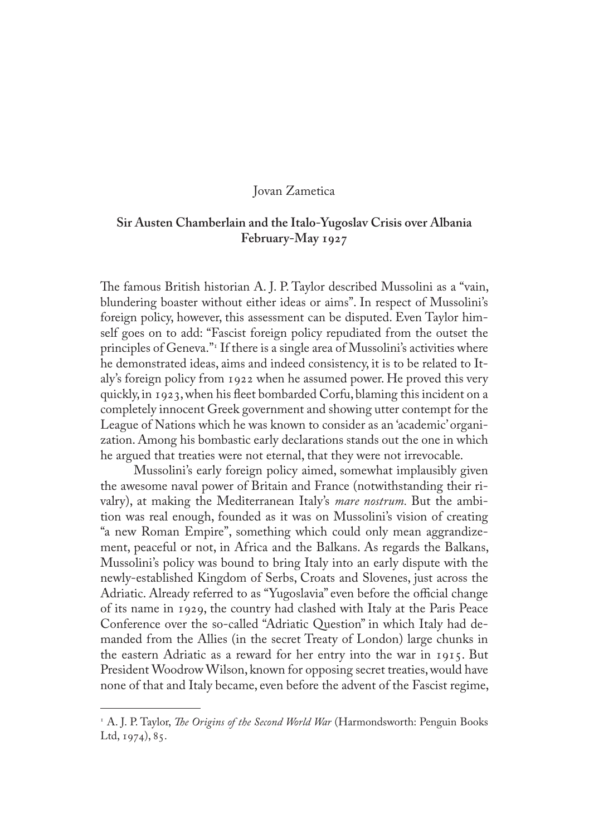## Jovan Zametica

## **Sir Austen Chamberlain and the Italo-Yugoslav Crisis over Albania February-May 1927**

The famous British historian A. J. P. Taylor described Mussolini as a "vain, blundering boaster without either ideas or aims". In respect of Mussolini's foreign policy, however, this assessment can be disputed. Even Taylor himself goes on to add: "Fascist foreign policy repudiated from the outset the principles of Geneva."1 If there is a single area of Mussolini's activities where he demonstrated ideas, aims and indeed consistency, it is to be related to Italy's foreign policy from 1922 when he assumed power. He proved this very quickly, in 1923, when his fleet bombarded Corfu, blaming this incident on a completely innocent Greek government and showing utter contempt for the League of Nations which he was known to consider as an 'academic' organization. Among his bombastic early declarations stands out the one in which he argued that treaties were not eternal, that they were not irrevocable.

Mussolini's early foreign policy aimed, somewhat implausibly given the awesome naval power of Britain and France (notwithstanding their rivalry), at making the Mediterranean Italy's *mare nostrum.* But the ambition was real enough, founded as it was on Mussolini's vision of creating "a new Roman Empire", something which could only mean aggrandizement, peaceful or not, in Africa and the Balkans. As regards the Balkans, Mussolini's policy was bound to bring Italy into an early dispute with the newly-established Kingdom of Serbs, Croats and Slovenes, just across the Adriatic. Already referred to as "Yugoslavia" even before the official change of its name in 1929, the country had clashed with Italy at the Paris Peace Conference over the so-called "Adriatic Question" in which Italy had demanded from the Allies (in the secret Treaty of London) large chunks in the eastern Adriatic as a reward for her entry into the war in 1915. But President Woodrow Wilson, known for opposing secret treaties, would have none of that and Italy became, even before the advent of the Fascist regime,

<sup>&</sup>lt;sup>1</sup> A. J. P. Taylor, *The Origins of the Second World War* (Harmondsworth: Penguin Books Ltd, 1974), 85.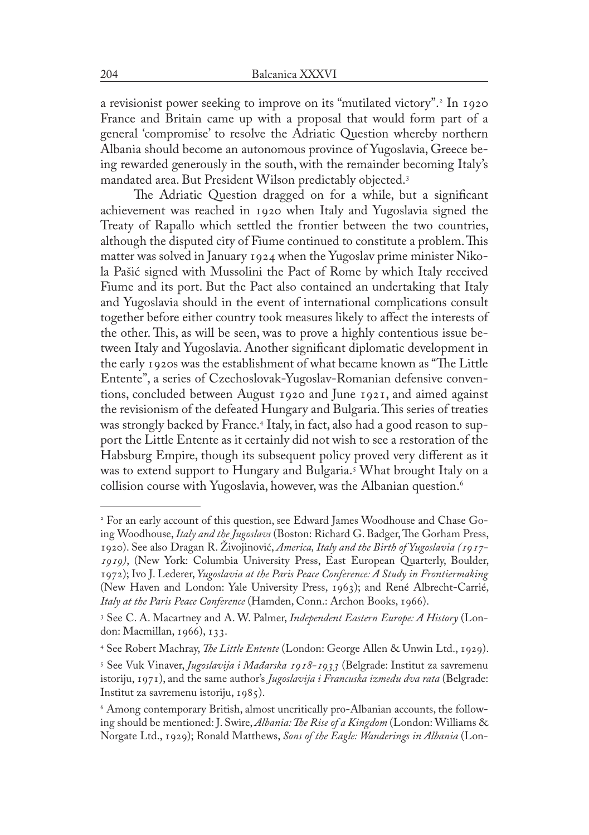a revisionist power seeking to improve on its "mutilated victory".<sup>2</sup> In 1920 France and Britain came up with a proposal that would form part of a general 'compromise' to resolve the Adriatic Question whereby northern Albania should become an autonomous province of Yugoslavia, Greece being rewarded generously in the south, with the remainder becoming Italy's mandated area. But President Wilson predictably objected.3

The Adriatic Question dragged on for a while, but a significant achievement was reached in 1920 when Italy and Yugoslavia signed the Treaty of Rapallo which settled the frontier between the two countries, although the disputed city of Fiume continued to constitute a problem. This matter was solved in January 1924 when the Yugoslav prime minister Nikola Pašić signed with Mussolini the Pact of Rome by which Italy received Fiume and its port. But the Pact also contained an undertaking that Italy and Yugoslavia should in the event of international complications consult together before either country took measures likely to affect the interests of the other. This, as will be seen, was to prove a highly contentious issue between Italy and Yugoslavia. Another significant diplomatic development in the early 1920s was the establishment of what became known as "The Little Entente", a series of Czechoslovak-Yugoslav-Romanian defensive conventions, concluded between August 1920 and June 1921, and aimed against the revisionism of the defeated Hungary and Bulgaria. This series of treaties was strongly backed by France.4 Italy, in fact, also had a good reason to support the Little Entente as it certainly did not wish to see a restoration of the Habsburg Empire, though its subsequent policy proved very different as it was to extend support to Hungary and Bulgaria.5 What brought Italy on a collision course with Yugoslavia, however, was the Albanian question.<sup>6</sup>

<sup>2</sup> For an early account of this question, see Edward James Woodhouse and Chase Going Woodhouse, *Italy and the Jugoslavs* (Boston: Richard G. Badger, The Gorham Press, 1920). See also Dragan R. Živojinović, *America, Italy and the Birth of Yugoslavia (1917- 1919)*, (New York: Columbia University Press, East European Quarterly, Boulder, 1972); Ivo J. Lederer, *Yugoslavia at the Paris Peace Conference: A Study in Frontiermaking*  (New Haven and London: Yale University Press, 1963); and René Albrecht-Carrié, *Italy at the Paris Peace Conference* (Hamden, Conn.: Archon Books, 1966).

<sup>3</sup> See C. A. Macartney and A. W. Palmer, *Independent Eastern Europe: A History* (London: Macmillan, 1966), 133.

<sup>4</sup> See Robert Machray, *The Little Entente* (London: George Allen & Unwin Ltd., 1929).

<sup>5</sup> See Vuk Vinaver, *Jugoslavija i Mađarska 1918-1933* (Belgrade: Institut za savremenu istoriju, 1971), and the same author's *Jugoslavija i Francuska između dva rata* (Belgrade: Institut za savremenu istoriju, 1985).

<sup>6</sup> Among contemporary British, almost uncritically pro-Albanian accounts, the following should be mentioned: J. Swire, *Albania: The Rise of a Kingdom* (London: Williams & Norgate Ltd., 1929); Ronald Matthews, *Sons of the Eagle: Wanderings in Albania* (Lon-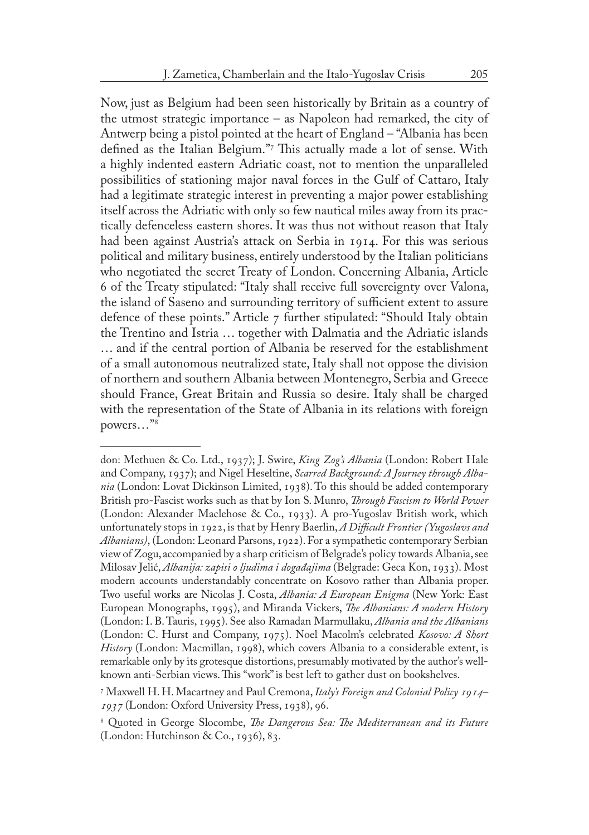Now, just as Belgium had been seen historically by Britain as a country of the utmost strategic importance – as Napoleon had remarked, the city of Antwerp being a pistol pointed at the heart of England – "Albania has been defined as the Italian Belgium."7 This actually made a lot of sense. With a highly indented eastern Adriatic coast, not to mention the unparalleled possibilities of stationing major naval forces in the Gulf of Cattaro, Italy had a legitimate strategic interest in preventing a major power establishing itself across the Adriatic with only so few nautical miles away from its practically defenceless eastern shores. It was thus not without reason that Italy had been against Austria's attack on Serbia in 1914. For this was serious political and military business, entirely understood by the Italian politicians who negotiated the secret Treaty of London. Concerning Albania, Article 6 of the Treaty stipulated: "Italy shall receive full sovereignty over Valona, the island of Saseno and surrounding territory of sufficient extent to assure defence of these points." Article 7 further stipulated: "Should Italy obtain the Trentino and Istria … together with Dalmatia and the Adriatic islands … and if the central portion of Albania be reserved for the establishment of a small autonomous neutralized state, Italy shall not oppose the division of northern and southern Albania between Montenegro, Serbia and Greece should France, Great Britain and Russia so desire. Italy shall be charged with the representation of the State of Albania in its relations with foreign powers…"8

don: Methuen & Co. Ltd., 1937); J. Swire, *King Zog's Albania* (London: Robert Hale and Company, 1937); and Nigel Heseltine, *Scarred Background: A Journey through Albania* (London: Lovat Dickinson Limited, 1938). To this should be added contemporary British pro-Fascist works such as that by Ion S. Munro, *Through Fascism to World Power* (London: Alexander Maclehose & Co., 1933). A pro-Yugoslav British work, which unfortunately stops in 1922, is that by Henry Baerlin, *A Difficult Frontier (Yugoslavs and Albanians)*, (London: Leonard Parsons, 1922). For a sympathetic contemporary Serbian view of Zogu, accompanied by a sharp criticism of Belgrade's policy towards Albania, see Milosav Jelić, *Albanija: zapisi o ljudima i događajima* (Belgrade: Geca Kon, 1933). Most modern accounts understandably concentrate on Kosovo rather than Albania proper. Two useful works are Nicolas J. Costa, *Albania: A European Enigma* (New York: East European Monographs, 1995), and Miranda Vickers, *The Albanians: A modern History* (London: I. B. Tauris, 1995). See also Ramadan Marmullaku, *Albania and the Albanians*  (London: C. Hurst and Company, 1975). Noel Macolm's celebrated *Kosovo: A Short History* (London: Macmillan, 1998), which covers Albania to a considerable extent, is remarkable only by its grotesque distortions, presumably motivated by the author's wellknown anti-Serbian views. This "work" is best left to gather dust on bookshelves.

<sup>7</sup> Maxwell H. H. Macartney and Paul Cremona, *Italy's Foreign and Colonial Policy 1914– 1937* (London: Oxford University Press, 1938), 96.

<sup>8</sup> Quoted in George Slocombe, *The Dangerous Sea: The Mediterranean and its Future*  (London: Hutchinson & Co., 1936), 83.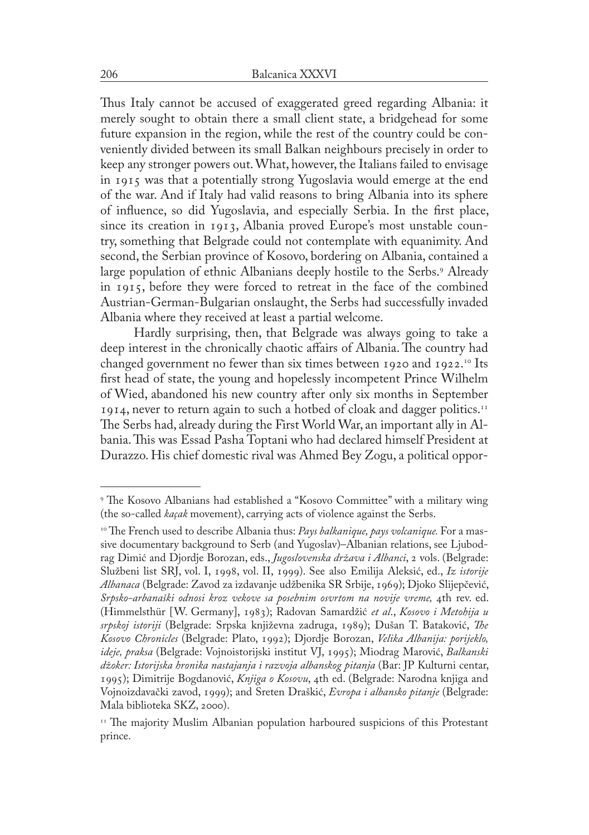Thus Italy cannot be accused of exaggerated greed regarding Albania: it merely sought to obtain there a small client state, a bridgehead for some future expansion in the region, while the rest of the country could be conveniently divided between its small Balkan neighbours precisely in order to keep any stronger powers out. What, however, the Italians failed to envisage in 1915 was that a potentially strong Yugoslavia would emerge at the end of the war. And if Italy had valid reasons to bring Albania into its sphere of influence, so did Yugoslavia, and especially Serbia. In the first place, since its creation in 1913, Albania proved Europe's most unstable country, something that Belgrade could not contemplate with equanimity. And second, the Serbian province of Kosovo, bordering on Albania, contained a large population of ethnic Albanians deeply hostile to the Serbs.9 Already in 1915, before they were forced to retreat in the face of the combined Austrian-German-Bulgarian onslaught, the Serbs had successfully invaded Albania where they received at least a partial welcome.

Hardly surprising, then, that Belgrade was always going to take a deep interest in the chronically chaotic affairs of Albania. The country had changed government no fewer than six times between 1920 and 1922.<sup>10</sup> Its first head of state, the young and hopelessly incompetent Prince Wilhelm of Wied, abandoned his new country after only six months in September 1914, never to return again to such a hotbed of cloak and dagger politics.<sup>11</sup> The Serbs had, already during the First World War, an important ally in Albania. This was Essad Pasha Toptani who had declared himself President at Durazzo. His chief domestic rival was Ahmed Bey Zogu, a political oppor-

<sup>9</sup> The Kosovo Albanians had established a "Kosovo Committee" with a military wing (the so-called *kaçak* movement), carrying acts of violence against the Serbs.

<sup>&</sup>lt;sup>10</sup> The French used to describe Albania thus: *Pays balkanique, pays volcanique*. For a massive documentary background to Serb (and Yugoslav)–Albanian relations, see Ljubodrag Dimić and Djordje Borozan, eds., *Jugoslovenska država i Albanci*, 2 vols. (Belgrade: Službeni list SRJ, vol. I, 1998, vol. II, 1999). See also Emilija Aleksić, ed., *Iz istorije Albanaca* (Belgrade: Zavod za izdavanje udžbenika SR Srbije, 1969); Djoko Slijepčević, *Srpsko-arbanaški odnosi kroz vekove sa posebnim osvrtom na novije vreme,* 4th rev. ed. (Himmelsthür [W. Germany], 1983); Radovan Samardžić *et al*., *Kosovo i Metohija u srpskoj istoriji* (Belgrade: Srpska književna zadruga, 1989); Dušan T. Bataković, *The Kosovo Chronicles* (Belgrade: Plato, 1992); Djordje Borozan, *Velika Albanija: porijeklo, ideje, praksa* (Belgrade: Vojnoistorijski institut VJ, 1995); Miodrag Marović, *Balkanski džoker: Istorijska hronika nastajanja i razvoja albanskog pitanja* (Bar: JP Kulturni centar, 1995); Dimitrije Bogdanović, *Knjiga o Kosovu*, 4th ed. (Belgrade: Narodna knjiga and Vojnoizdavački zavod, 1999); and Sreten Draškić, *Evropa i albansko pitanje* (Belgrade: Mala biblioteka SKZ, 2000).

<sup>&</sup>lt;sup>11</sup> The majority Muslim Albanian population harboured suspicions of this Protestant prince.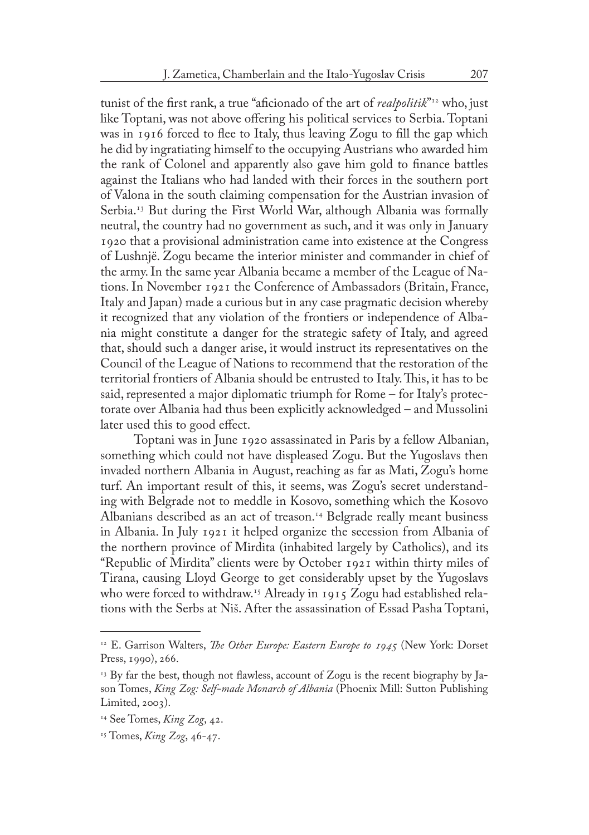tunist of the first rank, a true "aficionado of the art of *realpolitik*"12 who, just like Toptani, was not above offering his political services to Serbia. Toptani was in 1916 forced to flee to Italy, thus leaving Zogu to fill the gap which he did by ingratiating himself to the occupying Austrians who awarded him the rank of Colonel and apparently also gave him gold to finance battles against the Italians who had landed with their forces in the southern port of Valona in the south claiming compensation for the Austrian invasion of Serbia.<sup>13</sup> But during the First World War, although Albania was formally neutral, the country had no government as such, and it was only in January 1920 that a provisional administration came into existence at the Congress of Lushnjë. Zogu became the interior minister and commander in chief of the army. In the same year Albania became a member of the League of Nations. In November 1921 the Conference of Ambassadors (Britain, France, Italy and Japan) made a curious but in any case pragmatic decision whereby it recognized that any violation of the frontiers or independence of Albania might constitute a danger for the strategic safety of Italy, and agreed that, should such a danger arise, it would instruct its representatives on the Council of the League of Nations to recommend that the restoration of the territorial frontiers of Albania should be entrusted to Italy. This, it has to be said, represented a major diplomatic triumph for Rome – for Italy's protectorate over Albania had thus been explicitly acknowledged – and Mussolini later used this to good effect.

Toptani was in June 1920 assassinated in Paris by a fellow Albanian, something which could not have displeased Zogu. But the Yugoslavs then invaded northern Albania in August, reaching as far as Mati, Zogu's home turf. An important result of this, it seems, was Zogu's secret understanding with Belgrade not to meddle in Kosovo, something which the Kosovo Albanians described as an act of treason.<sup>14</sup> Belgrade really meant business in Albania. In July 1921 it helped organize the secession from Albania of the northern province of Mirdita (inhabited largely by Catholics), and its "Republic of Mirdita" clients were by October 1921 within thirty miles of Tirana, causing Lloyd George to get considerably upset by the Yugoslavs who were forced to withdraw.<sup>15</sup> Already in 1915 Zogu had established relations with the Serbs at Niš. After the assassination of Essad Pasha Toptani,

<sup>12</sup> E. Garrison Walters, *The Other Europe: Eastern Europe to 1945* (New York: Dorset Press, 1990), 266.

<sup>&</sup>lt;sup>13</sup> By far the best, though not flawless, account of Zogu is the recent biography by Jason Tomes, *King Zog: Self-made Monarch of Albania* (Phoenix Mill: Sutton Publishing Limited, 2003).

<sup>14</sup> See Tomes, *King Zog*, 42.

<sup>15</sup> Tomes, *King Zog*, 46-47.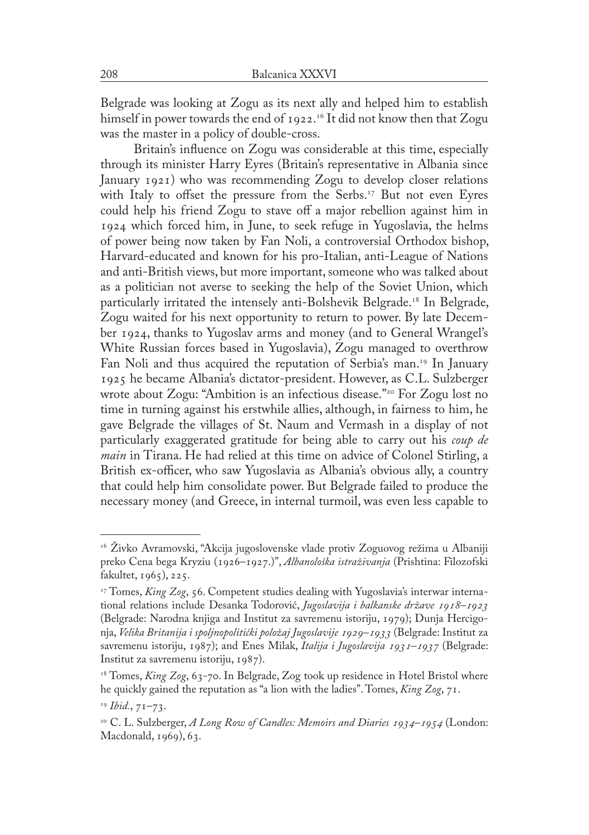Belgrade was looking at Zogu as its next ally and helped him to establish himself in power towards the end of 1922.<sup>16</sup> It did not know then that Zogu was the master in a policy of double-cross.

Britain's influence on Zogu was considerable at this time, especially through its minister Harry Eyres (Britain's representative in Albania since January 1921) who was recommending Zogu to develop closer relations with Italy to offset the pressure from the Serbs.<sup>17</sup> But not even Eyres could help his friend Zogu to stave off a major rebellion against him in 1924 which forced him, in June, to seek refuge in Yugoslavia, the helms of power being now taken by Fan Noli, a controversial Orthodox bishop, Harvard-educated and known for his pro-Italian, anti-League of Nations and anti-British views, but more important, someone who was talked about as a politician not averse to seeking the help of the Soviet Union, which particularly irritated the intensely anti-Bolshevik Belgrade.<sup>18</sup> In Belgrade, Zogu waited for his next opportunity to return to power. By late December 1924, thanks to Yugoslav arms and money (and to General Wrangel's White Russian forces based in Yugoslavia), Zogu managed to overthrow Fan Noli and thus acquired the reputation of Serbia's man.<sup>19</sup> In January 1925 he became Albania's dictator-president. However, as C.L. Sulzberger wrote about Zogu: "Ambition is an infectious disease."<sup>20</sup> For Zogu lost no time in turning against his erstwhile allies, although, in fairness to him, he gave Belgrade the villages of St. Naum and Vermash in a display of not particularly exaggerated gratitude for being able to carry out his *coup de main* in Tirana. He had relied at this time on advice of Colonel Stirling, a British ex-officer, who saw Yugoslavia as Albania's obvious ally, a country that could help him consolidate power. But Belgrade failed to produce the necessary money (and Greece, in internal turmoil, was even less capable to

<sup>&</sup>lt;sup>16</sup> Živko Avramovski, "Akcija jugoslovenske vlade protiv Zoguovog režima u Albaniji preko Cena bega Kryziu (1926–1927.)", *Albanološka istraživanja* (Prishtina: Filozofski fakultet, 1965), 225.

<sup>&</sup>lt;sup>17</sup> Tomes, *King Zog*, 56. Competent studies dealing with Yugoslavia's interwar international relations include Desanka Todorović, *Jugoslavija i balkanske države 1918–1923*  (Belgrade: Narodna knjiga and Institut za savremenu istoriju, 1979); Dunja Hercigonja, *Velika Britanija i spoljnopolitički položaj Jugoslavije 1929–1933* (Belgrade: Institut za savremenu istoriju, 1987); and Enes Milak, *Italija i Jugoslavija 1931–1937* (Belgrade: Institut za savremenu istoriju, 1987).

<sup>&</sup>lt;sup>18</sup> Tomes, *King Zog*, 63-70. In Belgrade, Zog took up residence in Hotel Bristol where he quickly gained the reputation as "a lion with the ladies". Tomes, *King Zog*, 71.

<sup>19</sup> *Ibid.*, 71–73.

<sup>&</sup>lt;sup>20</sup> C. L. Sulzberger, *A Long Row of Candles: Memoirs and Diaries 1934–1954* (London: Macdonald, 1969), 63.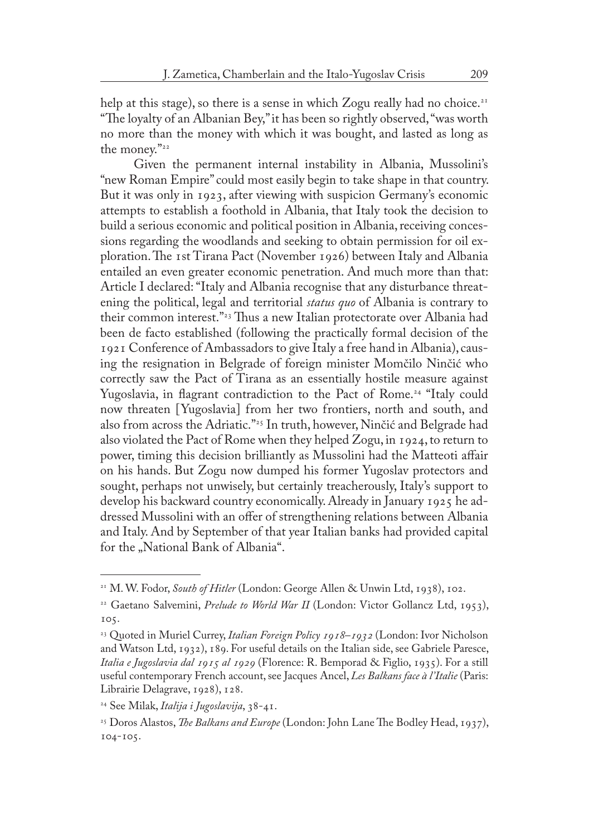help at this stage), so there is a sense in which Zogu really had no choice.<sup>21</sup> "The loyalty of an Albanian Bey," it has been so rightly observed, "was worth no more than the money with which it was bought, and lasted as long as the money."22

Given the permanent internal instability in Albania, Mussolini's "new Roman Empire" could most easily begin to take shape in that country. But it was only in 1923, after viewing with suspicion Germany's economic attempts to establish a foothold in Albania, that Italy took the decision to build a serious economic and political position in Albania, receiving concessions regarding the woodlands and seeking to obtain permission for oil exploration. The 1st Tirana Pact (November 1926) between Italy and Albania entailed an even greater economic penetration. And much more than that: Article I declared: "Italy and Albania recognise that any disturbance threatening the political, legal and territorial *status quo* of Albania is contrary to their common interest."23 Thus a new Italian protectorate over Albania had been de facto established (following the practically formal decision of the 1921 Conference of Ambassadors to give Italy a free hand in Albania), causing the resignation in Belgrade of foreign minister Momčilo Ninčić who correctly saw the Pact of Tirana as an essentially hostile measure against Yugoslavia, in flagrant contradiction to the Pact of Rome.<sup>24</sup> "Italy could now threaten [Yugoslavia] from her two frontiers, north and south, and also from across the Adriatic."25 In truth, however, Ninčić and Belgrade had also violated the Pact of Rome when they helped Zogu, in 1924, to return to power, timing this decision brilliantly as Mussolini had the Matteoti affair on his hands. But Zogu now dumped his former Yugoslav protectors and sought, perhaps not unwisely, but certainly treacherously, Italy's support to develop his backward country economically. Already in January 1925 he addressed Mussolini with an offer of strengthening relations between Albania and Italy. And by September of that year Italian banks had provided capital for the "National Bank of Albania".

<sup>21</sup> M. W. Fodor, *South of Hitler* (London: George Allen & Unwin Ltd, 1938), 102.

<sup>22</sup> Gaetano Salvemini, *Prelude to World War II* (London: Victor Gollancz Ltd, 1953), 105.

<sup>23</sup> Quoted in Muriel Currey, *Italian Foreign Policy 1918–1932* (London: Ivor Nicholson and Watson Ltd, 1932), 189. For useful details on the Italian side, see Gabriele Paresce, *Italia e Jugoslavia dal 1915 al 1929* (Florence: R. Bemporad & Figlio, 1935). For a still useful contemporary French account, see Jacques Ancel, *Les Balkans face à l'Italie* (Paris: Librairie Delagrave, 1928), 128.

<sup>24</sup> See Milak, *Italija i Jugoslavija*, 38-41.

<sup>&</sup>lt;sup>25</sup> Doros Alastos, *The Balkans and Europe* (London: John Lane The Bodley Head, 1937), 104-105.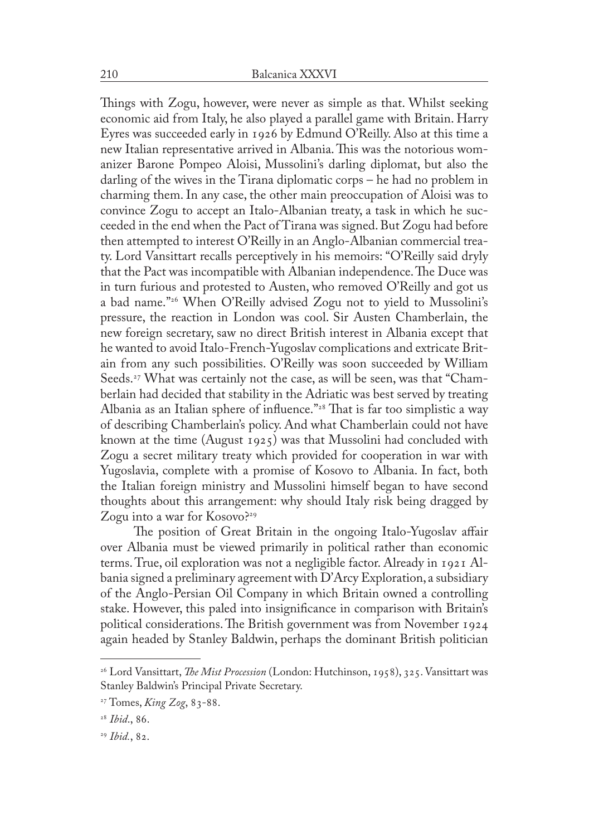Things with Zogu, however, were never as simple as that. Whilst seeking economic aid from Italy, he also played a parallel game with Britain. Harry Eyres was succeeded early in 1926 by Edmund O'Reilly. Also at this time a new Italian representative arrived in Albania. This was the notorious womanizer Barone Pompeo Aloisi, Mussolini's darling diplomat, but also the darling of the wives in the Tirana diplomatic corps – he had no problem in charming them. In any case, the other main preoccupation of Aloisi was to convince Zogu to accept an Italo-Albanian treaty, a task in which he succeeded in the end when the Pact of Tirana was signed. But Zogu had before then attempted to interest O'Reilly in an Anglo-Albanian commercial treaty. Lord Vansittart recalls perceptively in his memoirs: "O'Reilly said dryly that the Pact was incompatible with Albanian independence. The Duce was in turn furious and protested to Austen, who removed O'Reilly and got us a bad name."26 When O'Reilly advised Zogu not to yield to Mussolini's pressure, the reaction in London was cool. Sir Austen Chamberlain, the new foreign secretary, saw no direct British interest in Albania except that he wanted to avoid Italo-French-Yugoslav complications and extricate Britain from any such possibilities. O'Reilly was soon succeeded by William Seeds.<sup>27</sup> What was certainly not the case, as will be seen, was that "Chamberlain had decided that stability in the Adriatic was best served by treating Albania as an Italian sphere of influence."28 That is far too simplistic a way of describing Chamberlain's policy. And what Chamberlain could not have known at the time (August 1925) was that Mussolini had concluded with Zogu a secret military treaty which provided for cooperation in war with Yugoslavia, complete with a promise of Kosovo to Albania. In fact, both the Italian foreign ministry and Mussolini himself began to have second thoughts about this arrangement: why should Italy risk being dragged by Zogu into a war for Kosovo?<sup>29</sup>

The position of Great Britain in the ongoing Italo-Yugoslav affair over Albania must be viewed primarily in political rather than economic terms. True, oil exploration was not a negligible factor. Already in 1921 Albania signed a preliminary agreement with D'Arcy Exploration, a subsidiary of the Anglo-Persian Oil Company in which Britain owned a controlling stake. However, this paled into insignificance in comparison with Britain's political considerations. The British government was from November 1924 again headed by Stanley Baldwin, perhaps the dominant British politician

<sup>26</sup> Lord Vansittart, *The Mist Procession* (London: Hutchinson, 1958), 325. Vansittart was Stanley Baldwin's Principal Private Secretary.

<sup>27</sup> Tomes, *King Zog*, 83-88.

<sup>28</sup> *Ibid*., 86.

<sup>29</sup> *Ibid.*, 82.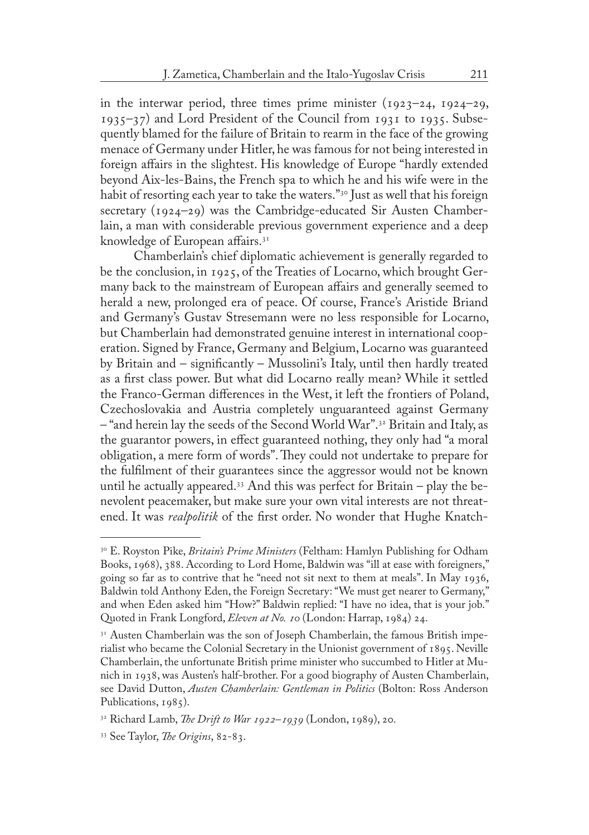in the interwar period, three times prime minister  $(1923-24, 1924-29,$ 1935–37) and Lord President of the Council from 1931 to 1935. Subsequently blamed for the failure of Britain to rearm in the face of the growing menace of Germany under Hitler, he was famous for not being interested in foreign affairs in the slightest. His knowledge of Europe "hardly extended beyond Aix-les-Bains, the French spa to which he and his wife were in the habit of resorting each year to take the waters."<sup>30</sup> Just as well that his foreign secretary (1924–29) was the Cambridge-educated Sir Austen Chamberlain, a man with considerable previous government experience and a deep knowledge of European affairs.<sup>31</sup>

Chamberlain's chief diplomatic achievement is generally regarded to be the conclusion, in 1925, of the Treaties of Locarno, which brought Germany back to the mainstream of European affairs and generally seemed to herald a new, prolonged era of peace. Of course, France's Aristide Briand and Germany's Gustav Stresemann were no less responsible for Locarno, but Chamberlain had demonstrated genuine interest in international cooperation. Signed by France, Germany and Belgium, Locarno was guaranteed by Britain and – significantly – Mussolini's Italy, until then hardly treated as a first class power. But what did Locarno really mean? While it settled the Franco-German differences in the West, it left the frontiers of Poland, Czechoslovakia and Austria completely unguaranteed against Germany – "and herein lay the seeds of the Second World War".32 Britain and Italy, as the guarantor powers, in effect guaranteed nothing, they only had "a moral obligation, a mere form of words". They could not undertake to prepare for the fulfilment of their guarantees since the aggressor would not be known until he actually appeared.<sup>33</sup> And this was perfect for Britain – play the benevolent peacemaker, but make sure your own vital interests are not threatened. It was *realpolitik* of the first order. No wonder that Hughe Knatch-

<sup>30</sup> E. Royston Pike, *Britain's Prime Ministers* (Feltham: Hamlyn Publishing for Odham Books, 1968), 388. According to Lord Home, Baldwin was "ill at ease with foreigners," going so far as to contrive that he "need not sit next to them at meals". In May 1936, Baldwin told Anthony Eden, the Foreign Secretary: "We must get nearer to Germany," and when Eden asked him "How?" Baldwin replied: "I have no idea, that is your job." Quoted in Frank Longford, *Eleven at No. 10* (London: Harrap, 1984) 24.

<sup>&</sup>lt;sup>31</sup> Austen Chamberlain was the son of Joseph Chamberlain, the famous British imperialist who became the Colonial Secretary in the Unionist government of 1895. Neville Chamberlain, the unfortunate British prime minister who succumbed to Hitler at Munich in 1938, was Austen's half-brother. For a good biography of Austen Chamberlain, see David Dutton, *Austen Chamberlain: Gentleman in Politics* (Bolton: Ross Anderson Publications, 1985).

<sup>32</sup> Richard Lamb, *The Drift to War 1922–1939* (London, 1989), 20.

<sup>33</sup> See Taylor, *The Origins*, 82-83.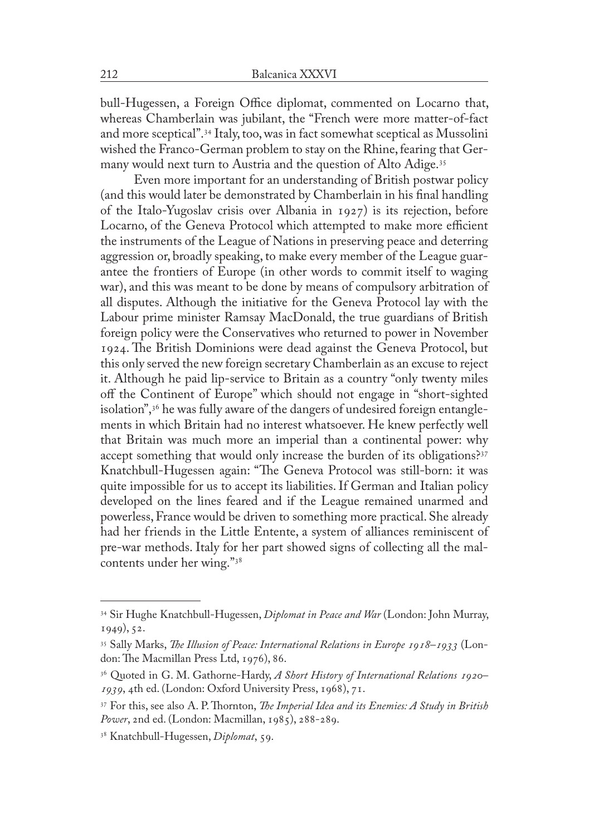bull-Hugessen, a Foreign Office diplomat, commented on Locarno that, whereas Chamberlain was jubilant, the "French were more matter-of-fact and more sceptical".34 Italy, too, was in fact somewhat sceptical as Mussolini wished the Franco-German problem to stay on the Rhine, fearing that Germany would next turn to Austria and the question of Alto Adige.<sup>35</sup>

Even more important for an understanding of British postwar policy (and this would later be demonstrated by Chamberlain in his final handling of the Italo-Yugoslav crisis over Albania in 1927) is its rejection, before Locarno, of the Geneva Protocol which attempted to make more efficient the instruments of the League of Nations in preserving peace and deterring aggression or, broadly speaking, to make every member of the League guarantee the frontiers of Europe (in other words to commit itself to waging war), and this was meant to be done by means of compulsory arbitration of all disputes. Although the initiative for the Geneva Protocol lay with the Labour prime minister Ramsay MacDonald, the true guardians of British foreign policy were the Conservatives who returned to power in November 1924. The British Dominions were dead against the Geneva Protocol, but this only served the new foreign secretary Chamberlain as an excuse to reject it. Although he paid lip-service to Britain as a country "only twenty miles off the Continent of Europe" which should not engage in "short-sighted isolation",36 he was fully aware of the dangers of undesired foreign entanglements in which Britain had no interest whatsoever. He knew perfectly well that Britain was much more an imperial than a continental power: why accept something that would only increase the burden of its obligations?<sup>37</sup> Knatchbull-Hugessen again: "The Geneva Protocol was still-born: it was quite impossible for us to accept its liabilities. If German and Italian policy developed on the lines feared and if the League remained unarmed and powerless, France would be driven to something more practical. She already had her friends in the Little Entente, a system of alliances reminiscent of pre-war methods. Italy for her part showed signs of collecting all the malcontents under her wing."38

<sup>34</sup> Sir Hughe Knatchbull-Hugessen, *Diplomat in Peace and War* (London: John Murray, 1949), 52.

<sup>35</sup> Sally Marks, *The Illusion of Peace: International Relations in Europe 1918–1933* (London: The Macmillan Press Ltd, 1976), 86.

<sup>36</sup> Quoted in G. M. Gathorne-Hardy, *A Short History of International Relations 1920– 1939*, 4th ed. (London: Oxford University Press, 1968), 71.

<sup>37</sup> For this, see also A. P. Thornton, *The Imperial Idea and its Enemies: A Study in British Power*, 2nd ed. (London: Macmillan, 1985), 288-289.

<sup>38</sup> Knatchbull-Hugessen, *Diplomat*, 59.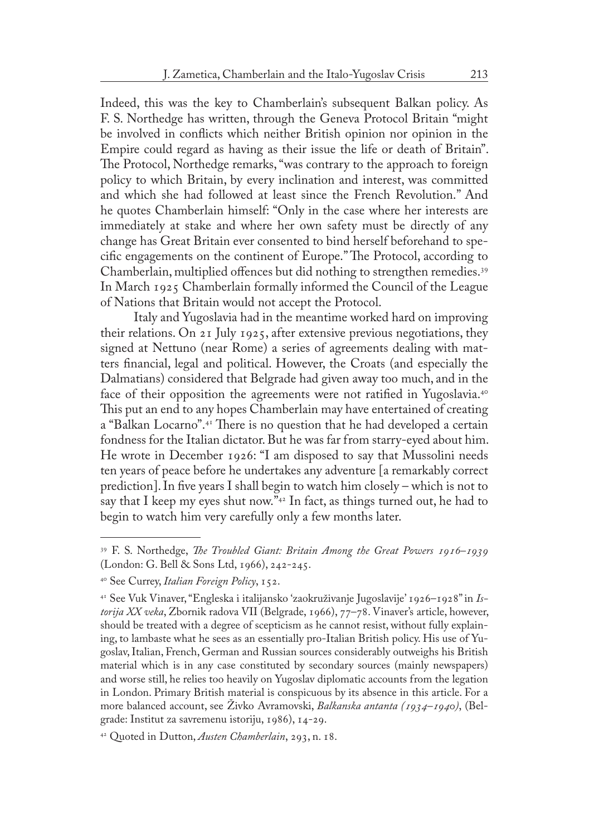Indeed, this was the key to Chamberlain's subsequent Balkan policy. As F. S. Northedge has written, through the Geneva Protocol Britain "might be involved in conflicts which neither British opinion nor opinion in the Empire could regard as having as their issue the life or death of Britain". The Protocol, Northedge remarks, "was contrary to the approach to foreign policy to which Britain, by every inclination and interest, was committed and which she had followed at least since the French Revolution." And he quotes Chamberlain himself: "Only in the case where her interests are immediately at stake and where her own safety must be directly of any change has Great Britain ever consented to bind herself beforehand to specific engagements on the continent of Europe." The Protocol, according to Chamberlain, multiplied offences but did nothing to strengthen remedies.39 In March 1925 Chamberlain formally informed the Council of the League of Nations that Britain would not accept the Protocol.

Italy and Yugoslavia had in the meantime worked hard on improving their relations. On 21 July 1925, after extensive previous negotiations, they signed at Nettuno (near Rome) a series of agreements dealing with matters financial, legal and political. However, the Croats (and especially the Dalmatians) considered that Belgrade had given away too much, and in the face of their opposition the agreements were not ratified in Yugoslavia.<sup>40</sup> This put an end to any hopes Chamberlain may have entertained of creating a "Balkan Locarno".41 There is no question that he had developed a certain fondness for the Italian dictator. But he was far from starry-eyed about him. He wrote in December 1926: "I am disposed to say that Mussolini needs ten years of peace before he undertakes any adventure [a remarkably correct prediction]. In five years I shall begin to watch him closely – which is not to say that I keep my eyes shut now." $42$  In fact, as things turned out, he had to begin to watch him very carefully only a few months later.

<sup>39</sup> F. S. Northedge, *The Troubled Giant: Britain Among the Great Powers 1916–1939*  (London: G. Bell & Sons Ltd, 1966), 242-245.

<sup>40</sup> See Currey, *Italian Foreign Policy*, 152.

<sup>41</sup> See Vuk Vinaver, "Engleska i italijansko 'zaokruživanje Jugoslavije' 1926–1928" in *Istorija XX veka*, Zbornik radova VII (Belgrade, 1966), 77–78. Vinaver's article, however, should be treated with a degree of scepticism as he cannot resist, without fully explaining, to lambaste what he sees as an essentially pro-Italian British policy. His use of Yugoslav, Italian, French, German and Russian sources considerably outweighs his British material which is in any case constituted by secondary sources (mainly newspapers) and worse still, he relies too heavily on Yugoslav diplomatic accounts from the legation in London. Primary British material is conspicuous by its absence in this article. For a more balanced account, see Živko Avramovski, *Balkanska antanta (1934–1940)*, (Belgrade: Institut za savremenu istoriju, 1986), 14-29.

<sup>42</sup> Quoted in Dutton, *Austen Chamberlain*, 293, n. 18.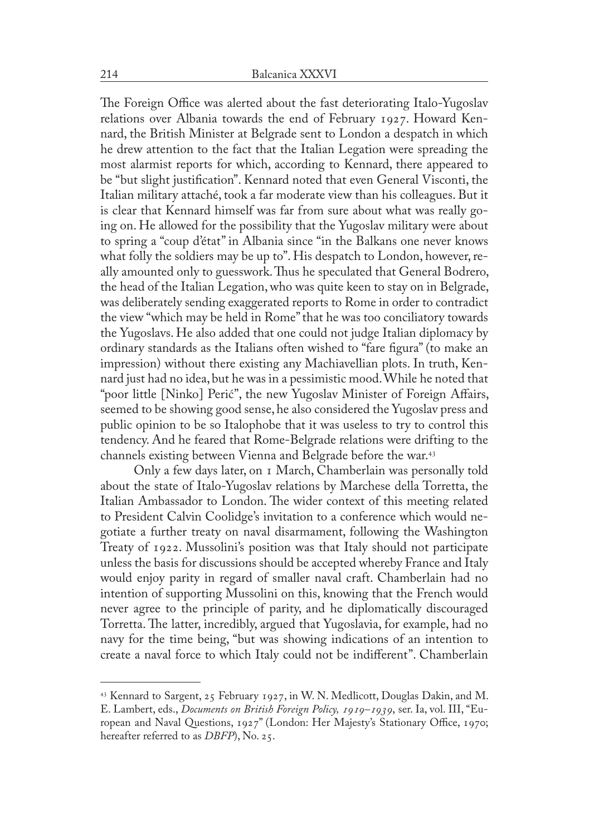The Foreign Office was alerted about the fast deteriorating Italo-Yugoslav relations over Albania towards the end of February 1927. Howard Kennard, the British Minister at Belgrade sent to London a despatch in which he drew attention to the fact that the Italian Legation were spreading the most alarmist reports for which, according to Kennard, there appeared to be "but slight justification". Kennard noted that even General Visconti, the Italian military attaché, took a far moderate view than his colleagues. But it is clear that Kennard himself was far from sure about what was really going on. He allowed for the possibility that the Yugoslav military were about to spring a "coup d'état" in Albania since "in the Balkans one never knows what folly the soldiers may be up to". His despatch to London, however, really amounted only to guesswork. Thus he speculated that General Bodrero, the head of the Italian Legation, who was quite keen to stay on in Belgrade, was deliberately sending exaggerated reports to Rome in order to contradict the view "which may be held in Rome" that he was too conciliatory towards the Yugoslavs. He also added that one could not judge Italian diplomacy by ordinary standards as the Italians often wished to "fare figura" (to make an impression) without there existing any Machiavellian plots. In truth, Kennard just had no idea, but he was in a pessimistic mood. While he noted that "poor little [Ninko] Perić", the new Yugoslav Minister of Foreign Affairs, seemed to be showing good sense, he also considered the Yugoslav press and public opinion to be so Italophobe that it was useless to try to control this tendency. And he feared that Rome-Belgrade relations were drifting to the channels existing between Vienna and Belgrade before the war.43

Only a few days later, on 1 March, Chamberlain was personally told about the state of Italo-Yugoslav relations by Marchese della Torretta, the Italian Ambassador to London. The wider context of this meeting related to President Calvin Coolidge's invitation to a conference which would negotiate a further treaty on naval disarmament, following the Washington Treaty of 1922. Mussolini's position was that Italy should not participate unless the basis for discussions should be accepted whereby France and Italy would enjoy parity in regard of smaller naval craft. Chamberlain had no intention of supporting Mussolini on this, knowing that the French would never agree to the principle of parity, and he diplomatically discouraged Torretta. The latter, incredibly, argued that Yugoslavia, for example, had no navy for the time being, "but was showing indications of an intention to create a naval force to which Italy could not be indifferent". Chamberlain

<sup>43</sup> Kennard to Sargent, 25 February 1927, in W. N. Medlicott, Douglas Dakin, and M. E. Lambert, eds., *Documents on British Foreign Policy, 1919–1939*, ser. Ia, vol. III, "European and Naval Questions, 1927" (London: Her Majesty's Stationary Office, 1970; hereafter referred to as *DBFP*), No. 25.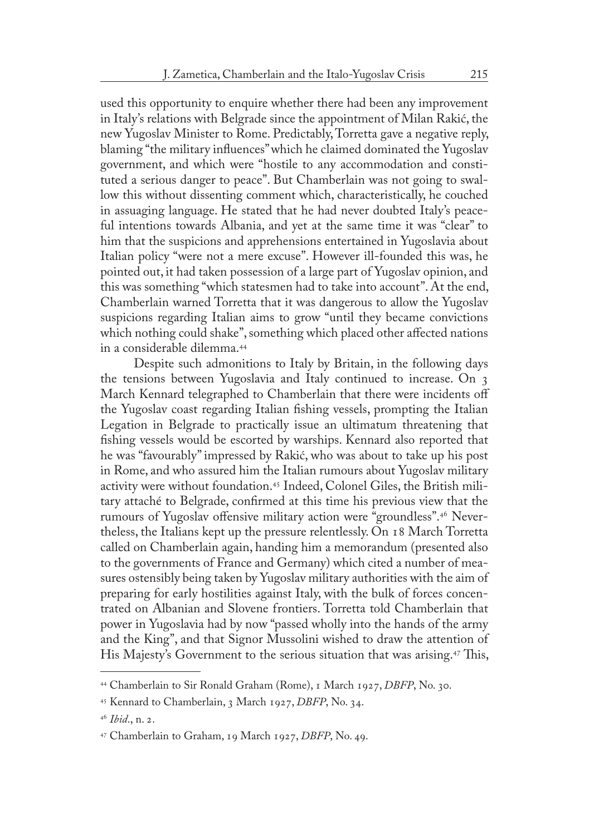used this opportunity to enquire whether there had been any improvement in Italy's relations with Belgrade since the appointment of Milan Rakić, the new Yugoslav Minister to Rome. Predictably, Torretta gave a negative reply, blaming "the military influences" which he claimed dominated the Yugoslav government, and which were "hostile to any accommodation and constituted a serious danger to peace". But Chamberlain was not going to swallow this without dissenting comment which, characteristically, he couched in assuaging language. He stated that he had never doubted Italy's peaceful intentions towards Albania, and yet at the same time it was "clear" to him that the suspicions and apprehensions entertained in Yugoslavia about Italian policy "were not a mere excuse". However ill-founded this was, he pointed out, it had taken possession of a large part of Yugoslav opinion, and this was something "which statesmen had to take into account". At the end, Chamberlain warned Torretta that it was dangerous to allow the Yugoslav suspicions regarding Italian aims to grow "until they became convictions which nothing could shake", something which placed other affected nations in a considerable dilemma.44

Despite such admonitions to Italy by Britain, in the following days the tensions between Yugoslavia and Italy continued to increase. On 3 March Kennard telegraphed to Chamberlain that there were incidents off the Yugoslav coast regarding Italian fishing vessels, prompting the Italian Legation in Belgrade to practically issue an ultimatum threatening that fishing vessels would be escorted by warships. Kennard also reported that he was "favourably" impressed by Rakić, who was about to take up his post in Rome, and who assured him the Italian rumours about Yugoslav military activity were without foundation.45 Indeed, Colonel Giles, the British military attaché to Belgrade, confirmed at this time his previous view that the rumours of Yugoslav offensive military action were "groundless".46 Nevertheless, the Italians kept up the pressure relentlessly. On 18 March Torretta called on Chamberlain again, handing him a memorandum (presented also to the governments of France and Germany) which cited a number of measures ostensibly being taken by Yugoslav military authorities with the aim of preparing for early hostilities against Italy, with the bulk of forces concentrated on Albanian and Slovene frontiers. Torretta told Chamberlain that power in Yugoslavia had by now "passed wholly into the hands of the army and the King", and that Signor Mussolini wished to draw the attention of His Majesty's Government to the serious situation that was arising.<sup>47</sup> This,

<sup>44</sup> Chamberlain to Sir Ronald Graham (Rome), 1 March 1927, *DBFP*, No. 30.

<sup>45</sup> Kennard to Chamberlain, 3 March 1927, *DBFP*, No. 34.

<sup>46</sup> *Ibid*., n. 2.

<sup>47</sup> Chamberlain to Graham, 19 March 1927, *DBFP*, No. 49.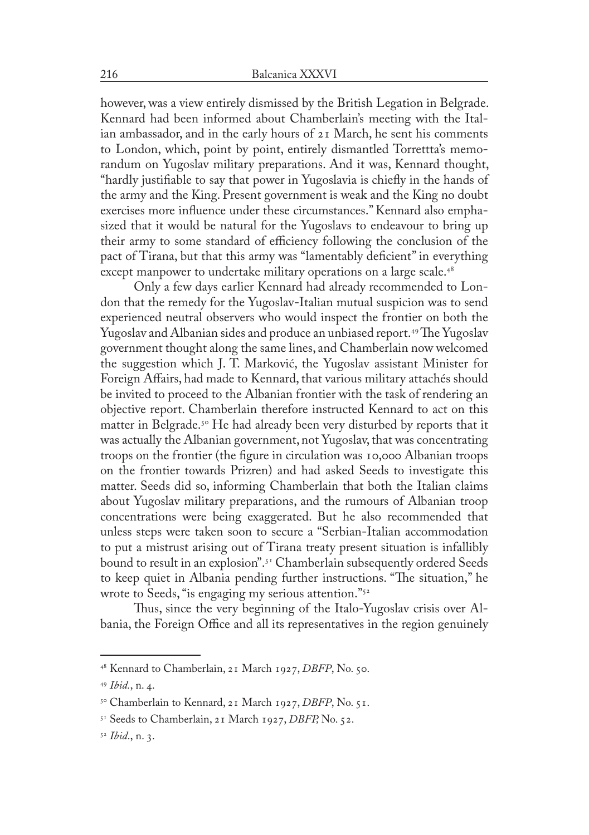however, was a view entirely dismissed by the British Legation in Belgrade. Kennard had been informed about Chamberlain's meeting with the Italian ambassador, and in the early hours of 21 March, he sent his comments to London, which, point by point, entirely dismantled Torrettta's memorandum on Yugoslav military preparations. And it was, Kennard thought, "hardly justifiable to say that power in Yugoslavia is chiefly in the hands of the army and the King. Present government is weak and the King no doubt exercises more influence under these circumstances." Kennard also emphasized that it would be natural for the Yugoslavs to endeavour to bring up their army to some standard of efficiency following the conclusion of the pact of Tirana, but that this army was "lamentably deficient" in everything except manpower to undertake military operations on a large scale.<sup>48</sup>

Only a few days earlier Kennard had already recommended to London that the remedy for the Yugoslav-Italian mutual suspicion was to send experienced neutral observers who would inspect the frontier on both the Yugoslav and Albanian sides and produce an unbiased report.49 The Yugoslav government thought along the same lines, and Chamberlain now welcomed the suggestion which J. T. Marković, the Yugoslav assistant Minister for Foreign Affairs, had made to Kennard, that various military attachés should be invited to proceed to the Albanian frontier with the task of rendering an objective report. Chamberlain therefore instructed Kennard to act on this matter in Belgrade.<sup>50</sup> He had already been very disturbed by reports that it was actually the Albanian government, not Yugoslav, that was concentrating troops on the frontier (the figure in circulation was 10,000 Albanian troops on the frontier towards Prizren) and had asked Seeds to investigate this matter. Seeds did so, informing Chamberlain that both the Italian claims about Yugoslav military preparations, and the rumours of Albanian troop concentrations were being exaggerated. But he also recommended that unless steps were taken soon to secure a "Serbian-Italian accommodation to put a mistrust arising out of Tirana treaty present situation is infallibly bound to result in an explosion".51 Chamberlain subsequently ordered Seeds to keep quiet in Albania pending further instructions. "The situation," he wrote to Seeds, "is engaging my serious attention."<sup>52</sup>

Thus, since the very beginning of the Italo-Yugoslav crisis over Albania, the Foreign Office and all its representatives in the region genuinely

<sup>48</sup> Kennard to Chamberlain, 21 March 1927, *DBFP*, No. 50.

<sup>49</sup> *Ibid.*, n. 4.

<sup>50</sup> Chamberlain to Kennard, 21 March 1927, *DBFP*, No. 51.

<sup>51</sup> Seeds to Chamberlain, 21 March 1927, *DBFP,* No. 52.

<sup>52</sup> *Ibid*., n. 3.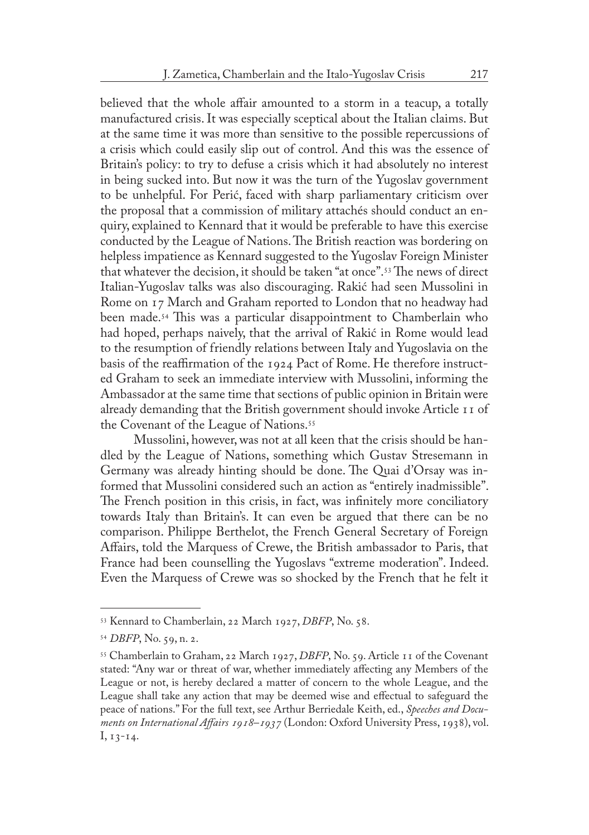believed that the whole affair amounted to a storm in a teacup, a totally manufactured crisis. It was especially sceptical about the Italian claims. But at the same time it was more than sensitive to the possible repercussions of a crisis which could easily slip out of control. And this was the essence of Britain's policy: to try to defuse a crisis which it had absolutely no interest in being sucked into. But now it was the turn of the Yugoslav government to be unhelpful. For Perić, faced with sharp parliamentary criticism over the proposal that a commission of military attachés should conduct an enquiry, explained to Kennard that it would be preferable to have this exercise conducted by the League of Nations. The British reaction was bordering on helpless impatience as Kennard suggested to the Yugoslav Foreign Minister that whatever the decision, it should be taken "at once".53 The news of direct Italian-Yugoslav talks was also discouraging. Rakić had seen Mussolini in Rome on 17 March and Graham reported to London that no headway had been made.54 This was a particular disappointment to Chamberlain who had hoped, perhaps naively, that the arrival of Rakić in Rome would lead to the resumption of friendly relations between Italy and Yugoslavia on the basis of the reaffirmation of the 1924 Pact of Rome. He therefore instructed Graham to seek an immediate interview with Mussolini, informing the Ambassador at the same time that sections of public opinion in Britain were already demanding that the British government should invoke Article 11 of the Covenant of the League of Nations.55

Mussolini, however, was not at all keen that the crisis should be handled by the League of Nations, something which Gustav Stresemann in Germany was already hinting should be done. The Quai d'Orsay was informed that Mussolini considered such an action as "entirely inadmissible". The French position in this crisis, in fact, was infinitely more conciliatory towards Italy than Britain's. It can even be argued that there can be no comparison. Philippe Berthelot, the French General Secretary of Foreign Affairs, told the Marquess of Crewe, the British ambassador to Paris, that France had been counselling the Yugoslavs "extreme moderation". Indeed. Even the Marquess of Crewe was so shocked by the French that he felt it

<sup>53</sup> Kennard to Chamberlain, 22 March 1927, *DBFP*, No. 58.

<sup>54</sup> *DBFP*, No. 59, n. 2.

<sup>55</sup> Chamberlain to Graham, 22 March 1927, *DBFP*, No. 59. Article 11 of the Covenant stated: "Any war or threat of war, whether immediately affecting any Members of the League or not, is hereby declared a matter of concern to the whole League, and the League shall take any action that may be deemed wise and effectual to safeguard the peace of nations." For the full text, see Arthur Berriedale Keith, ed., *Speeches and Documents on International Affairs 1918–1937* (London: Oxford University Press, 1938), vol. I, 13-14.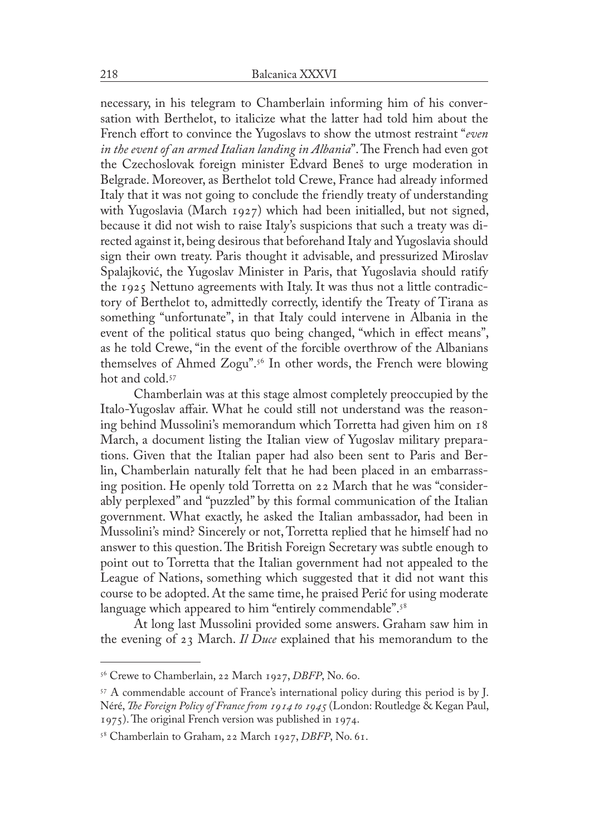necessary, in his telegram to Chamberlain informing him of his conversation with Berthelot, to italicize what the latter had told him about the French effort to convince the Yugoslavs to show the utmost restraint "*even in the event of an armed Italian landing in Albania*". The French had even got the Czechoslovak foreign minister Edvard Beneš to urge moderation in Belgrade. Moreover, as Berthelot told Crewe, France had already informed Italy that it was not going to conclude the friendly treaty of understanding with Yugoslavia (March 1927) which had been initialled, but not signed, because it did not wish to raise Italy's suspicions that such a treaty was directed against it, being desirous that beforehand Italy and Yugoslavia should sign their own treaty. Paris thought it advisable, and pressurized Miroslav Spalajković, the Yugoslav Minister in Paris, that Yugoslavia should ratify the 1925 Nettuno agreements with Italy. It was thus not a little contradictory of Berthelot to, admittedly correctly, identify the Treaty of Tirana as something "unfortunate", in that Italy could intervene in Albania in the event of the political status quo being changed, "which in effect means", as he told Crewe, "in the event of the forcible overthrow of the Albanians themselves of Ahmed Zogu".56 In other words, the French were blowing hot and cold.<sup>57</sup>

Chamberlain was at this stage almost completely preoccupied by the Italo-Yugoslav affair. What he could still not understand was the reasoning behind Mussolini's memorandum which Torretta had given him on 18 March, a document listing the Italian view of Yugoslav military preparations. Given that the Italian paper had also been sent to Paris and Berlin, Chamberlain naturally felt that he had been placed in an embarrassing position. He openly told Torretta on 22 March that he was "considerably perplexed" and "puzzled" by this formal communication of the Italian government. What exactly, he asked the Italian ambassador, had been in Mussolini's mind? Sincerely or not, Torretta replied that he himself had no answer to this question. The British Foreign Secretary was subtle enough to point out to Torretta that the Italian government had not appealed to the League of Nations, something which suggested that it did not want this course to be adopted. At the same time, he praised Perić for using moderate language which appeared to him "entirely commendable".<sup>58</sup>

At long last Mussolini provided some answers. Graham saw him in the evening of 23 March. *Il Duce* explained that his memorandum to the

<sup>56</sup> Crewe to Chamberlain, 22 March 1927, *DBFP*, No. 60.

<sup>57</sup> A commendable account of France's international policy during this period is by J. Néré, *The Foreign Policy of France from 1914 to 1945* (London: Routledge & Kegan Paul, 1975). The original French version was published in 1974.

<sup>58</sup> Chamberlain to Graham, 22 March 1927, *DBFP*, No. 61.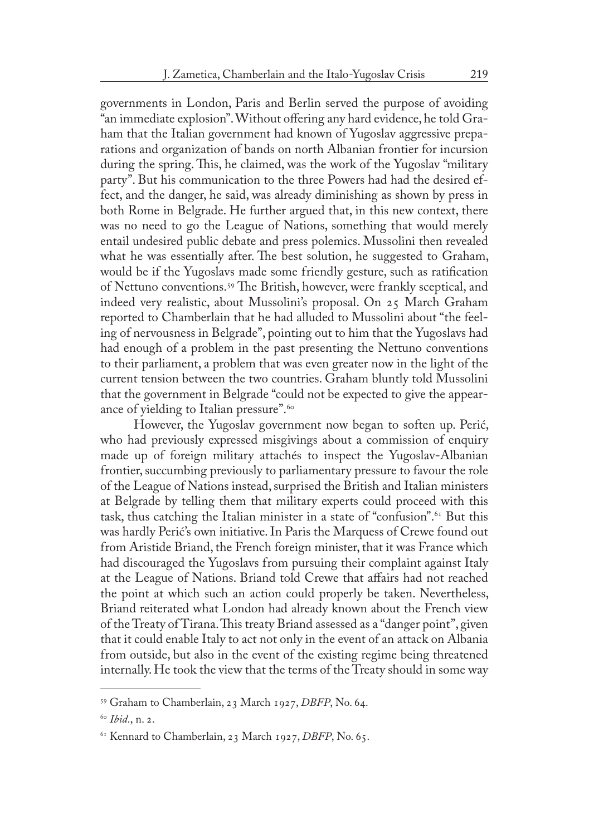governments in London, Paris and Berlin served the purpose of avoiding "an immediate explosion". Without offering any hard evidence, he told Graham that the Italian government had known of Yugoslav aggressive preparations and organization of bands on north Albanian frontier for incursion during the spring. This, he claimed, was the work of the Yugoslav "military party". But his communication to the three Powers had had the desired effect, and the danger, he said, was already diminishing as shown by press in both Rome in Belgrade. He further argued that, in this new context, there was no need to go the League of Nations, something that would merely entail undesired public debate and press polemics. Mussolini then revealed what he was essentially after. The best solution, he suggested to Graham, would be if the Yugoslavs made some friendly gesture, such as ratification of Nettuno conventions.59 The British, however, were frankly sceptical, and indeed very realistic, about Mussolini's proposal. On 25 March Graham reported to Chamberlain that he had alluded to Mussolini about "the feeling of nervousness in Belgrade", pointing out to him that the Yugoslavs had had enough of a problem in the past presenting the Nettuno conventions to their parliament, a problem that was even greater now in the light of the current tension between the two countries. Graham bluntly told Mussolini that the government in Belgrade "could not be expected to give the appearance of yielding to Italian pressure".<sup>60</sup>

However, the Yugoslav government now began to soften up. Perić, who had previously expressed misgivings about a commission of enquiry made up of foreign military attachés to inspect the Yugoslav-Albanian frontier, succumbing previously to parliamentary pressure to favour the role of the League of Nations instead, surprised the British and Italian ministers at Belgrade by telling them that military experts could proceed with this task, thus catching the Italian minister in a state of "confusion".<sup>61</sup> But this was hardly Perić's own initiative. In Paris the Marquess of Crewe found out from Aristide Briand, the French foreign minister, that it was France which had discouraged the Yugoslavs from pursuing their complaint against Italy at the League of Nations. Briand told Crewe that affairs had not reached the point at which such an action could properly be taken. Nevertheless, Briand reiterated what London had already known about the French view of the Treaty of Tirana. This treaty Briand assessed as a "danger point", given that it could enable Italy to act not only in the event of an attack on Albania from outside, but also in the event of the existing regime being threatened internally. He took the view that the terms of the Treaty should in some way

<sup>59</sup> Graham to Chamberlain, 23 March 1927, *DBFP*, No. 64.

<sup>60</sup> *Ibid*., n. 2.

<sup>61</sup> Kennard to Chamberlain, 23 March 1927, *DBFP*, No. 65.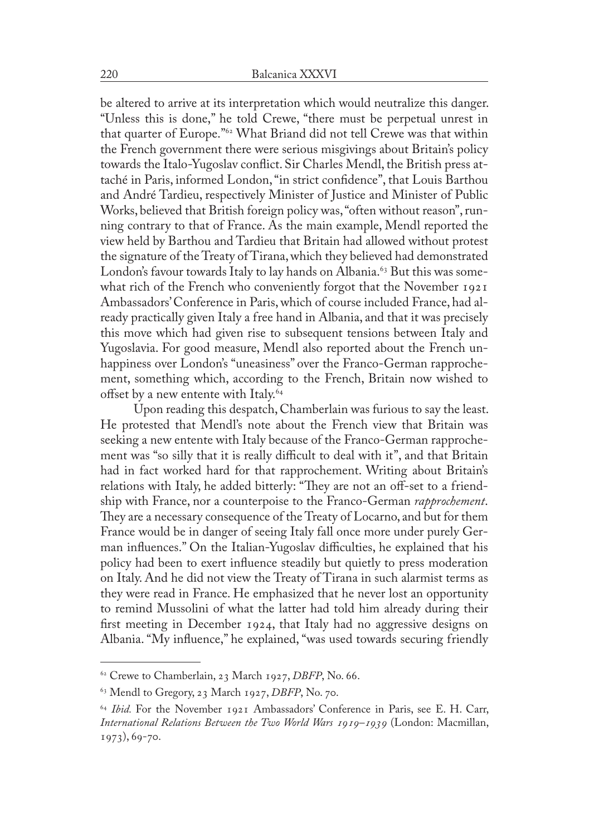be altered to arrive at its interpretation which would neutralize this danger. "Unless this is done," he told Crewe, "there must be perpetual unrest in that quarter of Europe."62 What Briand did not tell Crewe was that within the French government there were serious misgivings about Britain's policy towards the Italo-Yugoslav conflict. Sir Charles Mendl, the British press attaché in Paris, informed London, "in strict confidence", that Louis Barthou and André Tardieu, respectively Minister of Justice and Minister of Public Works, believed that British foreign policy was, "often without reason", running contrary to that of France. As the main example, Mendl reported the view held by Barthou and Tardieu that Britain had allowed without protest the signature of the Treaty of Tirana, which they believed had demonstrated London's favour towards Italy to lay hands on Albania.<sup>63</sup> But this was somewhat rich of the French who conveniently forgot that the November 1921 Ambassadors' Conference in Paris, which of course included France, had already practically given Italy a free hand in Albania, and that it was precisely this move which had given rise to subsequent tensions between Italy and Yugoslavia. For good measure, Mendl also reported about the French unhappiness over London's "uneasiness" over the Franco-German rapprochement, something which, according to the French, Britain now wished to offset by a new entente with Italy.<sup>64</sup>

Upon reading this despatch, Chamberlain was furious to say the least. He protested that Mendl's note about the French view that Britain was seeking a new entente with Italy because of the Franco-German rapprochement was "so silly that it is really difficult to deal with it", and that Britain had in fact worked hard for that rapprochement. Writing about Britain's relations with Italy, he added bitterly: "They are not an off-set to a friendship with France, nor a counterpoise to the Franco-German *rapprochement*. They are a necessary consequence of the Treaty of Locarno, and but for them France would be in danger of seeing Italy fall once more under purely German influences." On the Italian-Yugoslav difficulties, he explained that his policy had been to exert influence steadily but quietly to press moderation on Italy. And he did not view the Treaty of Tirana in such alarmist terms as they were read in France. He emphasized that he never lost an opportunity to remind Mussolini of what the latter had told him already during their first meeting in December 1924, that Italy had no aggressive designs on Albania. "My influence," he explained, "was used towards securing friendly

<sup>62</sup> Crewe to Chamberlain, 23 March 1927, *DBFP*, No. 66.

<sup>63</sup> Mendl to Gregory, 23 March 1927, *DBFP*, No. 70.

<sup>64</sup> *Ibid.* For the November 1921 Ambassadors' Conference in Paris, see E. H. Carr, *International Relations Between the Two World Wars 1919–1939* (London: Macmillan, 1973), 69-70.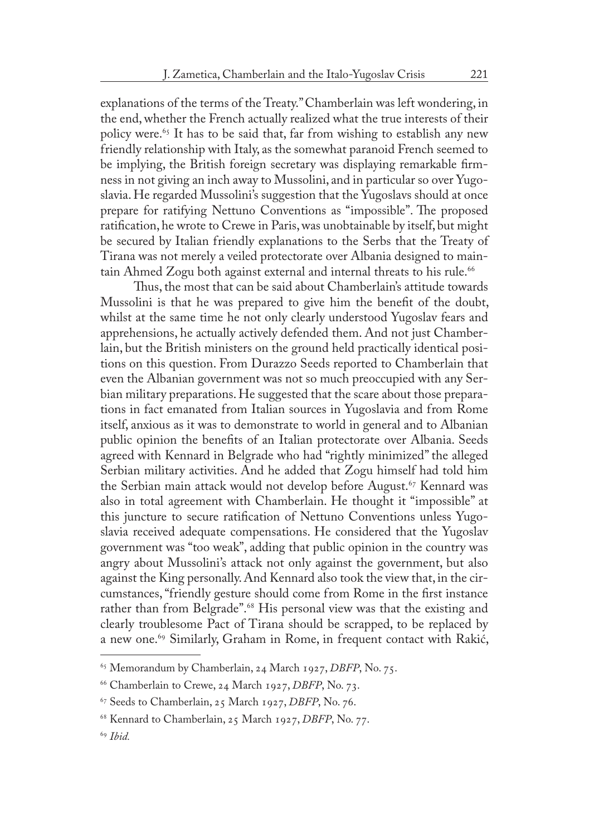explanations of the terms of the Treaty." Chamberlain was left wondering, in the end, whether the French actually realized what the true interests of their policy were.65 It has to be said that, far from wishing to establish any new friendly relationship with Italy, as the somewhat paranoid French seemed to be implying, the British foreign secretary was displaying remarkable firmness in not giving an inch away to Mussolini, and in particular so over Yugoslavia. He regarded Mussolini's suggestion that the Yugoslavs should at once prepare for ratifying Nettuno Conventions as "impossible". The proposed ratification, he wrote to Crewe in Paris, was unobtainable by itself, but might be secured by Italian friendly explanations to the Serbs that the Treaty of Tirana was not merely a veiled protectorate over Albania designed to maintain Ahmed Zogu both against external and internal threats to his rule.<sup>66</sup>

Thus, the most that can be said about Chamberlain's attitude towards Mussolini is that he was prepared to give him the benefit of the doubt, whilst at the same time he not only clearly understood Yugoslav fears and apprehensions, he actually actively defended them. And not just Chamberlain, but the British ministers on the ground held practically identical positions on this question. From Durazzo Seeds reported to Chamberlain that even the Albanian government was not so much preoccupied with any Serbian military preparations. He suggested that the scare about those preparations in fact emanated from Italian sources in Yugoslavia and from Rome itself, anxious as it was to demonstrate to world in general and to Albanian public opinion the benefits of an Italian protectorate over Albania. Seeds agreed with Kennard in Belgrade who had "rightly minimized" the alleged Serbian military activities. And he added that Zogu himself had told him the Serbian main attack would not develop before August.<sup>67</sup> Kennard was also in total agreement with Chamberlain. He thought it "impossible" at this juncture to secure ratification of Nettuno Conventions unless Yugoslavia received adequate compensations. He considered that the Yugoslav government was "too weak", adding that public opinion in the country was angry about Mussolini's attack not only against the government, but also against the King personally. And Kennard also took the view that, in the circumstances, "friendly gesture should come from Rome in the first instance rather than from Belgrade".68 His personal view was that the existing and clearly troublesome Pact of Tirana should be scrapped, to be replaced by a new one.69 Similarly, Graham in Rome, in frequent contact with Rakić,

<sup>65</sup> Memorandum by Chamberlain, 24 March 1927, *DBFP*, No. 75.

<sup>66</sup> Chamberlain to Crewe, 24 March 1927, *DBFP*, No. 73.

<sup>67</sup> Seeds to Chamberlain, 25 March 1927, *DBFP*, No. 76.

<sup>68</sup> Kennard to Chamberlain, 25 March 1927, *DBFP*, No. 77.

<sup>69</sup> *Ibid.*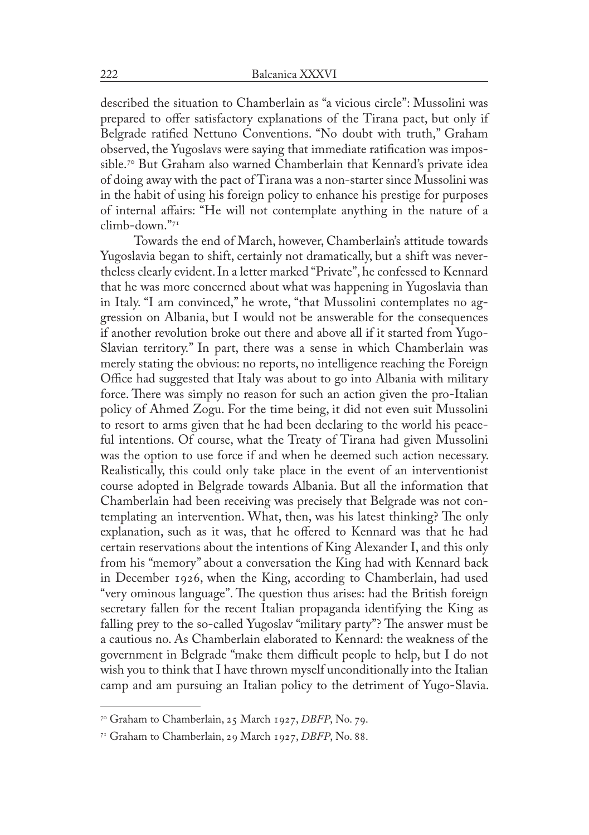described the situation to Chamberlain as "a vicious circle": Mussolini was prepared to offer satisfactory explanations of the Tirana pact, but only if Belgrade ratified Nettuno Conventions. "No doubt with truth," Graham observed, the Yugoslavs were saying that immediate ratification was impossible.<sup>70</sup> But Graham also warned Chamberlain that Kennard's private idea of doing away with the pact of Tirana was a non-starter since Mussolini was in the habit of using his foreign policy to enhance his prestige for purposes of internal affairs: "He will not contemplate anything in the nature of a climb-down."71

Towards the end of March, however, Chamberlain's attitude towards Yugoslavia began to shift, certainly not dramatically, but a shift was nevertheless clearly evident. In a letter marked "Private", he confessed to Kennard that he was more concerned about what was happening in Yugoslavia than in Italy. "I am convinced," he wrote, "that Mussolini contemplates no aggression on Albania, but I would not be answerable for the consequences if another revolution broke out there and above all if it started from Yugo-Slavian territory." In part, there was a sense in which Chamberlain was merely stating the obvious: no reports, no intelligence reaching the Foreign Office had suggested that Italy was about to go into Albania with military force. There was simply no reason for such an action given the pro-Italian policy of Ahmed Zogu. For the time being, it did not even suit Mussolini to resort to arms given that he had been declaring to the world his peaceful intentions. Of course, what the Treaty of Tirana had given Mussolini was the option to use force if and when he deemed such action necessary. Realistically, this could only take place in the event of an interventionist course adopted in Belgrade towards Albania. But all the information that Chamberlain had been receiving was precisely that Belgrade was not contemplating an intervention. What, then, was his latest thinking? The only explanation, such as it was, that he offered to Kennard was that he had certain reservations about the intentions of King Alexander I, and this only from his "memory" about a conversation the King had with Kennard back in December 1926, when the King, according to Chamberlain, had used "very ominous language". The question thus arises: had the British foreign secretary fallen for the recent Italian propaganda identifying the King as falling prey to the so-called Yugoslav "military party"? The answer must be a cautious no. As Chamberlain elaborated to Kennard: the weakness of the government in Belgrade "make them difficult people to help, but I do not wish you to think that I have thrown myself unconditionally into the Italian camp and am pursuing an Italian policy to the detriment of Yugo-Slavia.

<sup>70</sup> Graham to Chamberlain, 25 March 1927, *DBFP*, No. 79.

<sup>71</sup> Graham to Chamberlain, 29 March 1927, *DBFP*, No. 88.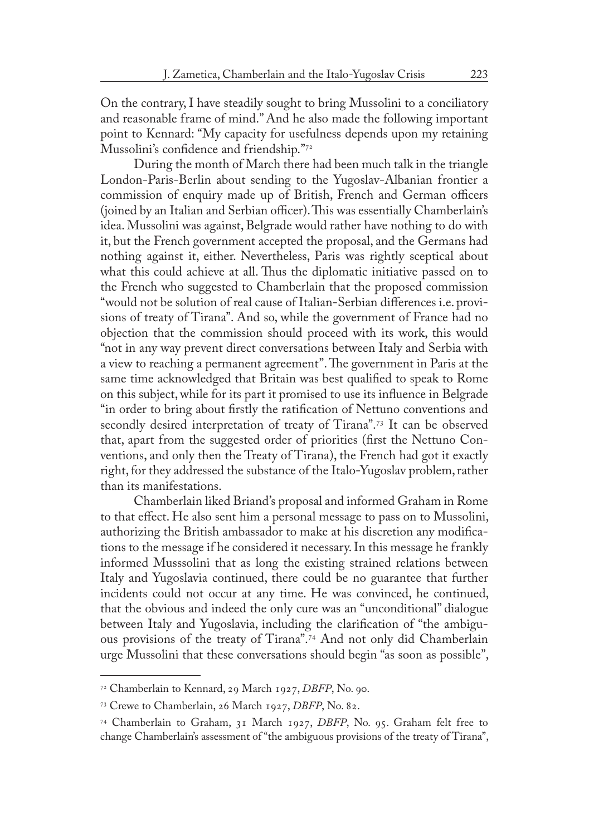On the contrary, I have steadily sought to bring Mussolini to a conciliatory and reasonable frame of mind." And he also made the following important point to Kennard: "My capacity for usefulness depends upon my retaining Mussolini's confidence and friendship."72

During the month of March there had been much talk in the triangle London-Paris-Berlin about sending to the Yugoslav-Albanian frontier a commission of enquiry made up of British, French and German officers (joined by an Italian and Serbian officer). This was essentially Chamberlain's idea. Mussolini was against, Belgrade would rather have nothing to do with it, but the French government accepted the proposal, and the Germans had nothing against it, either. Nevertheless, Paris was rightly sceptical about what this could achieve at all. Thus the diplomatic initiative passed on to the French who suggested to Chamberlain that the proposed commission "would not be solution of real cause of Italian-Serbian differences i.e. provisions of treaty of Tirana". And so, while the government of France had no objection that the commission should proceed with its work, this would "not in any way prevent direct conversations between Italy and Serbia with a view to reaching a permanent agreement". The government in Paris at the same time acknowledged that Britain was best qualified to speak to Rome on this subject, while for its part it promised to use its influence in Belgrade "in order to bring about firstly the ratification of Nettuno conventions and secondly desired interpretation of treaty of Tirana".73 It can be observed that, apart from the suggested order of priorities (first the Nettuno Conventions, and only then the Treaty of Tirana), the French had got it exactly right, for they addressed the substance of the Italo-Yugoslav problem, rather than its manifestations.

Chamberlain liked Briand's proposal and informed Graham in Rome to that effect. He also sent him a personal message to pass on to Mussolini, authorizing the British ambassador to make at his discretion any modifications to the message if he considered it necessary. In this message he frankly informed Musssolini that as long the existing strained relations between Italy and Yugoslavia continued, there could be no guarantee that further incidents could not occur at any time. He was convinced, he continued, that the obvious and indeed the only cure was an "unconditional" dialogue between Italy and Yugoslavia, including the clarification of "the ambiguous provisions of the treaty of Tirana".74 And not only did Chamberlain urge Mussolini that these conversations should begin "as soon as possible",

<sup>72</sup> Chamberlain to Kennard, 29 March 1927, *DBFP*, No. 90.

<sup>73</sup> Crewe to Chamberlain, 26 March 1927, *DBFP*, No. 82.

<sup>74</sup> Chamberlain to Graham, 31 March 1927, *DBFP*, No. 95. Graham felt free to change Chamberlain's assessment of "the ambiguous provisions of the treaty of Tirana",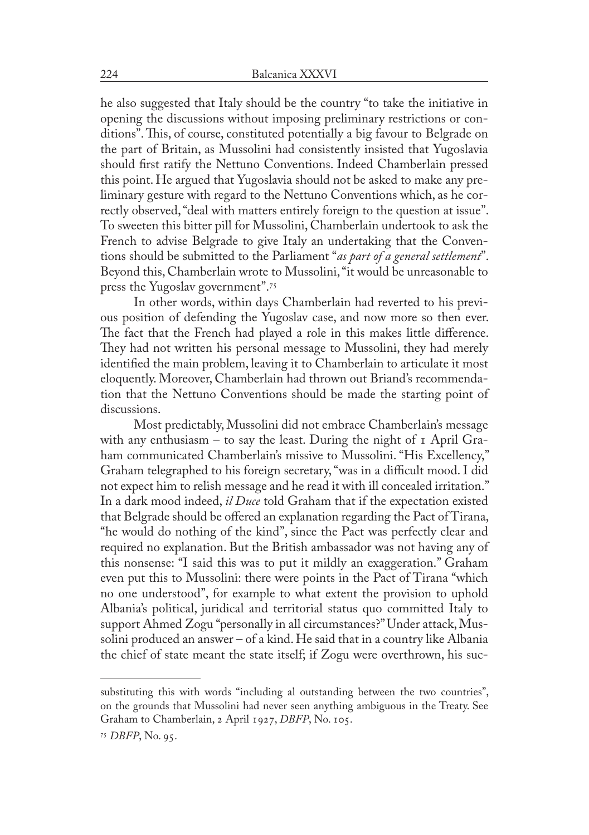he also suggested that Italy should be the country "to take the initiative in opening the discussions without imposing preliminary restrictions or conditions". This, of course, constituted potentially a big favour to Belgrade on the part of Britain, as Mussolini had consistently insisted that Yugoslavia should first ratify the Nettuno Conventions. Indeed Chamberlain pressed this point. He argued that Yugoslavia should not be asked to make any preliminary gesture with regard to the Nettuno Conventions which, as he correctly observed, "deal with matters entirely foreign to the question at issue". To sweeten this bitter pill for Mussolini, Chamberlain undertook to ask the French to advise Belgrade to give Italy an undertaking that the Conventions should be submitted to the Parliament "*as part of a general settlement*". Beyond this, Chamberlain wrote to Mussolini, "it would be unreasonable to press the Yugoslav government".75

In other words, within days Chamberlain had reverted to his previous position of defending the Yugoslav case, and now more so then ever. The fact that the French had played a role in this makes little difference. They had not written his personal message to Mussolini, they had merely identified the main problem, leaving it to Chamberlain to articulate it most eloquently. Moreover, Chamberlain had thrown out Briand's recommendation that the Nettuno Conventions should be made the starting point of discussions.

Most predictably, Mussolini did not embrace Chamberlain's message with any enthusiasm – to say the least. During the night of  $\bar{1}$  April Graham communicated Chamberlain's missive to Mussolini. "His Excellency," Graham telegraphed to his foreign secretary, "was in a difficult mood. I did not expect him to relish message and he read it with ill concealed irritation." In a dark mood indeed, *il Duce* told Graham that if the expectation existed that Belgrade should be offered an explanation regarding the Pact of Tirana, "he would do nothing of the kind", since the Pact was perfectly clear and required no explanation. But the British ambassador was not having any of this nonsense: "I said this was to put it mildly an exaggeration." Graham even put this to Mussolini: there were points in the Pact of Tirana "which no one understood", for example to what extent the provision to uphold Albania's political, juridical and territorial status quo committed Italy to support Ahmed Zogu "personally in all circumstances?" Under attack, Mussolini produced an answer – of a kind. He said that in a country like Albania the chief of state meant the state itself; if Zogu were overthrown, his suc-

substituting this with words "including al outstanding between the two countries", on the grounds that Mussolini had never seen anything ambiguous in the Treaty. See Graham to Chamberlain, 2 April 1927, *DBFP*, No. 105.

<sup>75</sup> *DBFP*, No. 95.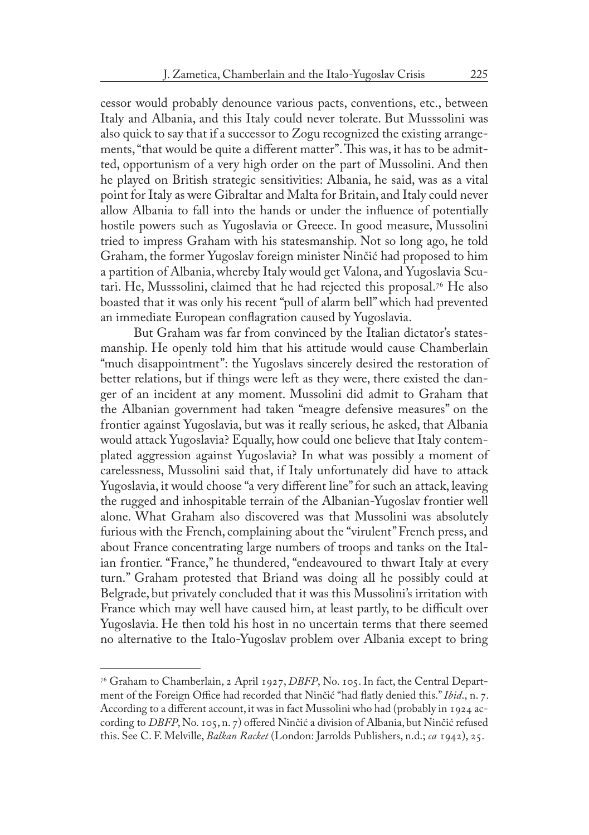cessor would probably denounce various pacts, conventions, etc., between Italy and Albania, and this Italy could never tolerate. But Musssolini was also quick to say that if a successor to Zogu recognized the existing arrangements, "that would be quite a different matter". This was, it has to be admitted, opportunism of a very high order on the part of Mussolini. And then he played on British strategic sensitivities: Albania, he said, was as a vital point for Italy as were Gibraltar and Malta for Britain, and Italy could never allow Albania to fall into the hands or under the influence of potentially hostile powers such as Yugoslavia or Greece. In good measure, Mussolini tried to impress Graham with his statesmanship. Not so long ago, he told Graham, the former Yugoslav foreign minister Ninčić had proposed to him a partition of Albania, whereby Italy would get Valona, and Yugoslavia Scutari. He, Musssolini, claimed that he had rejected this proposal.76 He also boasted that it was only his recent "pull of alarm bell" which had prevented an immediate European conflagration caused by Yugoslavia.

But Graham was far from convinced by the Italian dictator's statesmanship. He openly told him that his attitude would cause Chamberlain "much disappointment": the Yugoslavs sincerely desired the restoration of better relations, but if things were left as they were, there existed the danger of an incident at any moment. Mussolini did admit to Graham that the Albanian government had taken "meagre defensive measures" on the frontier against Yugoslavia, but was it really serious, he asked, that Albania would attack Yugoslavia? Equally, how could one believe that Italy contemplated aggression against Yugoslavia? In what was possibly a moment of carelessness, Mussolini said that, if Italy unfortunately did have to attack Yugoslavia, it would choose "a very different line" for such an attack, leaving the rugged and inhospitable terrain of the Albanian-Yugoslav frontier well alone. What Graham also discovered was that Mussolini was absolutely furious with the French, complaining about the "virulent" French press, and about France concentrating large numbers of troops and tanks on the Italian frontier. "France," he thundered, "endeavoured to thwart Italy at every turn." Graham protested that Briand was doing all he possibly could at Belgrade, but privately concluded that it was this Mussolini's irritation with France which may well have caused him, at least partly, to be difficult over Yugoslavia. He then told his host in no uncertain terms that there seemed no alternative to the Italo-Yugoslav problem over Albania except to bring

<sup>76</sup> Graham to Chamberlain, 2 April 1927, *DBFP*, No. 105. In fact, the Central Department of the Foreign Office had recorded that Ninčić "had flatly denied this." *Ibid*., n. 7. According to a different account, it was in fact Mussolini who had (probably in 1924 according to *DBFP*, No. 105, n. 7) offered Ninčić a division of Albania, but Ninčić refused this. See C. F. Melville, *Balkan Racket* (London: Jarrolds Publishers, n.d.; *ca* 1942), 25.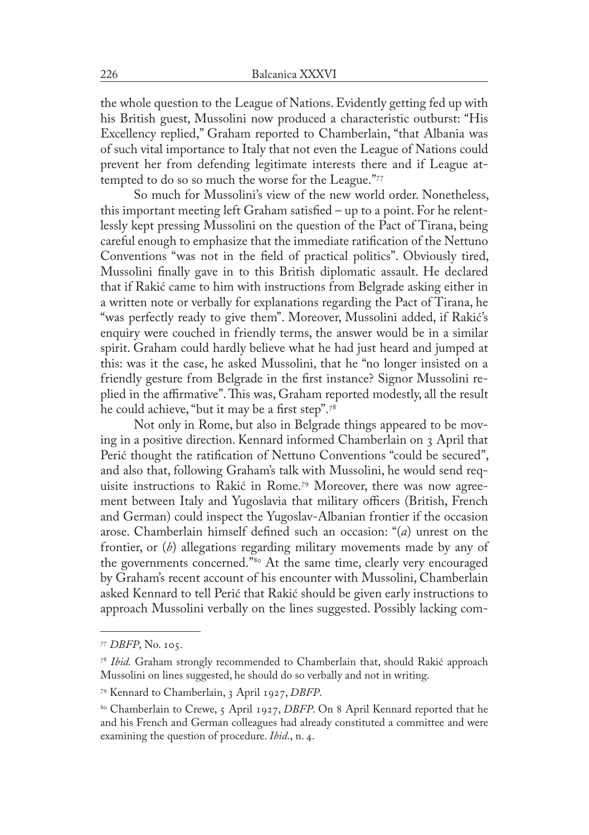the whole question to the League of Nations. Evidently getting fed up with his British guest, Mussolini now produced a characteristic outburst: "His Excellency replied," Graham reported to Chamberlain, "that Albania was of such vital importance to Italy that not even the League of Nations could prevent her from defending legitimate interests there and if League attempted to do so so much the worse for the League."77

So much for Mussolini's view of the new world order. Nonetheless, this important meeting left Graham satisfied – up to a point. For he relentlessly kept pressing Mussolini on the question of the Pact of Tirana, being careful enough to emphasize that the immediate ratification of the Nettuno Conventions "was not in the field of practical politics". Obviously tired, Mussolini finally gave in to this British diplomatic assault. He declared that if Rakić came to him with instructions from Belgrade asking either in a written note or verbally for explanations regarding the Pact of Tirana, he "was perfectly ready to give them". Moreover, Mussolini added, if Rakić's enquiry were couched in friendly terms, the answer would be in a similar spirit. Graham could hardly believe what he had just heard and jumped at this: was it the case, he asked Mussolini, that he "no longer insisted on a friendly gesture from Belgrade in the first instance? Signor Mussolini replied in the affirmative". This was, Graham reported modestly, all the result he could achieve, "but it may be a first step".78

Not only in Rome, but also in Belgrade things appeared to be moving in a positive direction. Kennard informed Chamberlain on 3 April that Perić thought the ratification of Nettuno Conventions "could be secured", and also that, following Graham's talk with Mussolini, he would send requisite instructions to Rakić in Rome.79 Moreover, there was now agreement between Italy and Yugoslavia that military officers (British, French and German) could inspect the Yugoslav-Albanian frontier if the occasion arose. Chamberlain himself defined such an occasion: "(*a*) unrest on the frontier, or (*b*) allegations regarding military movements made by any of the governments concerned."80 At the same time, clearly very encouraged by Graham's recent account of his encounter with Mussolini, Chamberlain asked Kennard to tell Perić that Rakić should be given early instructions to approach Mussolini verbally on the lines suggested. Possibly lacking com-

<sup>77</sup> *DBFP*, No. 105.

<sup>78</sup> *Ibid.* Graham strongly recommended to Chamberlain that, should Rakić approach Mussolini on lines suggested, he should do so verbally and not in writing.

<sup>79</sup> Kennard to Chamberlain, 3 April 1927, *DBFP*.

<sup>&</sup>lt;sup>80</sup> Chamberlain to Crewe, 5 April 1927, *DBFP*. On 8 April Kennard reported that he and his French and German colleagues had already constituted a committee and were examining the question of procedure. *Ibid*., n. 4.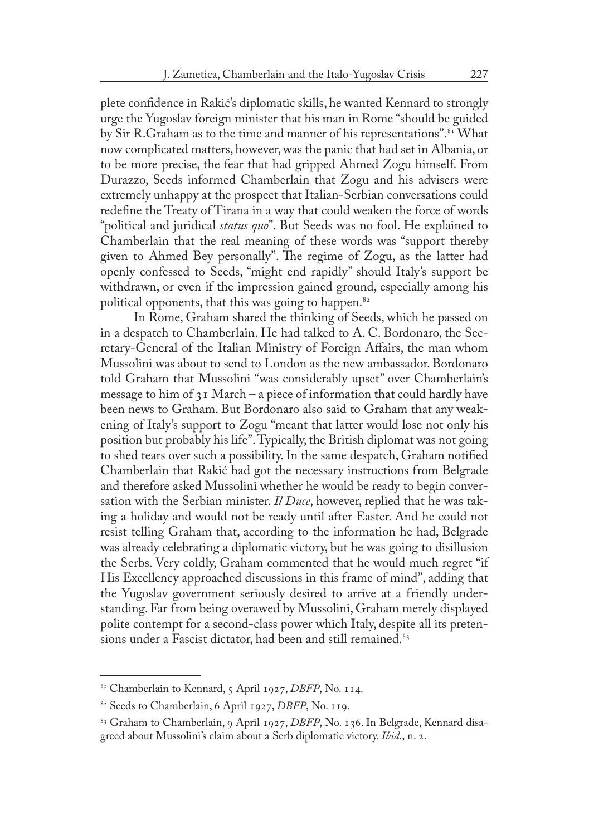plete confidence in Rakić's diplomatic skills, he wanted Kennard to strongly urge the Yugoslav foreign minister that his man in Rome "should be guided by Sir R.Graham as to the time and manner of his representations".<sup>81</sup> What now complicated matters, however, was the panic that had set in Albania, or to be more precise, the fear that had gripped Ahmed Zogu himself. From Durazzo, Seeds informed Chamberlain that Zogu and his advisers were extremely unhappy at the prospect that Italian-Serbian conversations could redefine the Treaty of Tirana in a way that could weaken the force of words "political and juridical *status quo*". But Seeds was no fool. He explained to Chamberlain that the real meaning of these words was "support thereby given to Ahmed Bey personally". The regime of Zogu, as the latter had openly confessed to Seeds, "might end rapidly" should Italy's support be withdrawn, or even if the impression gained ground, especially among his political opponents, that this was going to happen.<sup>82</sup>

In Rome, Graham shared the thinking of Seeds, which he passed on in a despatch to Chamberlain. He had talked to A. C. Bordonaro, the Secretary-General of the Italian Ministry of Foreign Affairs, the man whom Mussolini was about to send to London as the new ambassador. Bordonaro told Graham that Mussolini "was considerably upset" over Chamberlain's message to him of  $31$  March – a piece of information that could hardly have been news to Graham. But Bordonaro also said to Graham that any weakening of Italy's support to Zogu "meant that latter would lose not only his position but probably his life". Typically, the British diplomat was not going to shed tears over such a possibility. In the same despatch, Graham notified Chamberlain that Rakić had got the necessary instructions from Belgrade and therefore asked Mussolini whether he would be ready to begin conversation with the Serbian minister. *Il Duce*, however, replied that he was taking a holiday and would not be ready until after Easter. And he could not resist telling Graham that, according to the information he had, Belgrade was already celebrating a diplomatic victory, but he was going to disillusion the Serbs. Very coldly, Graham commented that he would much regret "if His Excellency approached discussions in this frame of mind", adding that the Yugoslav government seriously desired to arrive at a friendly understanding. Far from being overawed by Mussolini, Graham merely displayed polite contempt for a second-class power which Italy, despite all its pretensions under a Fascist dictator, had been and still remained.<sup>83</sup>

<sup>81</sup> Chamberlain to Kennard, 5 April 1927, *DBFP*, No. 114.

<sup>82</sup> Seeds to Chamberlain, 6 April 1927, *DBFP*, No. 119.

<sup>&</sup>lt;sup>83</sup> Graham to Chamberlain, 9 April 1927, *DBFP*, No. 136. In Belgrade, Kennard disagreed about Mussolini's claim about a Serb diplomatic victory. *Ibid*., n. 2.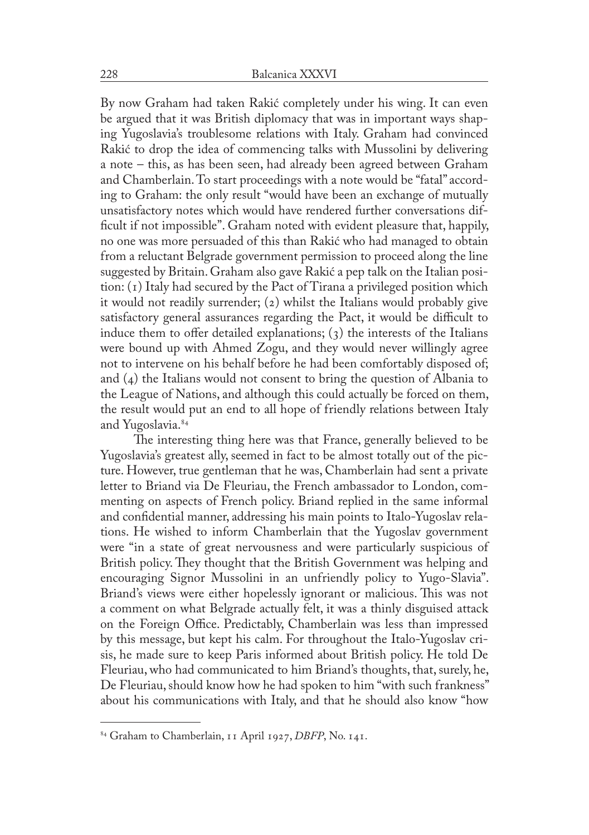By now Graham had taken Rakić completely under his wing. It can even be argued that it was British diplomacy that was in important ways shaping Yugoslavia's troublesome relations with Italy. Graham had convinced Rakić to drop the idea of commencing talks with Mussolini by delivering a note – this, as has been seen, had already been agreed between Graham and Chamberlain. To start proceedings with a note would be "fatal" according to Graham: the only result "would have been an exchange of mutually unsatisfactory notes which would have rendered further conversations difficult if not impossible". Graham noted with evident pleasure that, happily, no one was more persuaded of this than Rakić who had managed to obtain from a reluctant Belgrade government permission to proceed along the line suggested by Britain. Graham also gave Rakić a pep talk on the Italian position:  $(i)$  Italy had secured by the Pact of Tirana a privileged position which it would not readily surrender; (2) whilst the Italians would probably give satisfactory general assurances regarding the Pact, it would be difficult to induce them to offer detailed explanations;  $(3)$  the interests of the Italians were bound up with Ahmed Zogu, and they would never willingly agree not to intervene on his behalf before he had been comfortably disposed of; and (4) the Italians would not consent to bring the question of Albania to the League of Nations, and although this could actually be forced on them, the result would put an end to all hope of friendly relations between Italy and Yugoslavia.84

The interesting thing here was that France, generally believed to be Yugoslavia's greatest ally, seemed in fact to be almost totally out of the picture. However, true gentleman that he was, Chamberlain had sent a private letter to Briand via De Fleuriau, the French ambassador to London, commenting on aspects of French policy. Briand replied in the same informal and confidential manner, addressing his main points to Italo-Yugoslav relations. He wished to inform Chamberlain that the Yugoslav government were "in a state of great nervousness and were particularly suspicious of British policy. They thought that the British Government was helping and encouraging Signor Mussolini in an unfriendly policy to Yugo-Slavia". Briand's views were either hopelessly ignorant or malicious. This was not a comment on what Belgrade actually felt, it was a thinly disguised attack on the Foreign Office. Predictably, Chamberlain was less than impressed by this message, but kept his calm. For throughout the Italo-Yugoslav crisis, he made sure to keep Paris informed about British policy. He told De Fleuriau, who had communicated to him Briand's thoughts, that, surely, he, De Fleuriau, should know how he had spoken to him "with such frankness" about his communications with Italy, and that he should also know "how

<sup>84</sup> Graham to Chamberlain, 11 April 1927, *DBFP*, No. 141.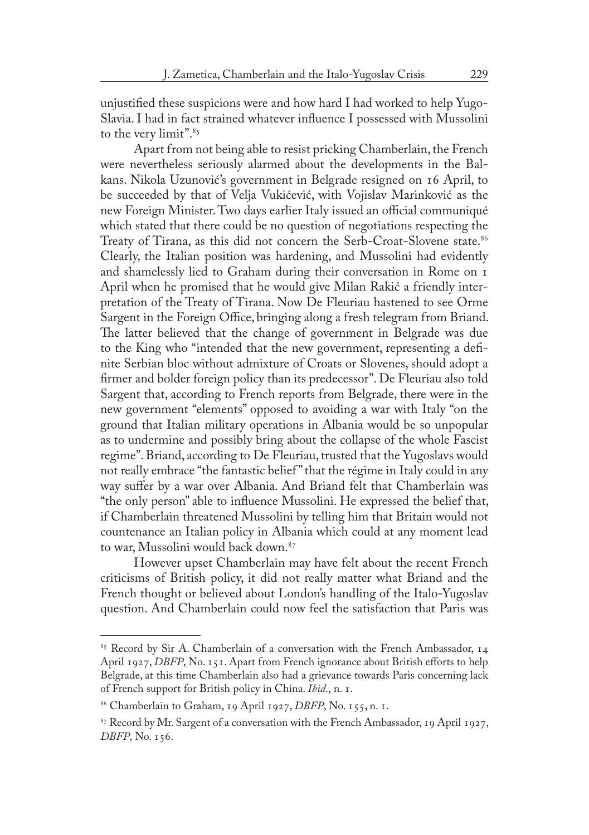unjustified these suspicions were and how hard I had worked to help Yugo-Slavia. I had in fact strained whatever influence I possessed with Mussolini to the very limit".<sup>85</sup>

Apart from not being able to resist pricking Chamberlain, the French were nevertheless seriously alarmed about the developments in the Balkans. Nikola Uzunović's government in Belgrade resigned on 16 April, to be succeeded by that of Velja Vukićević, with Vojislav Marinković as the new Foreign Minister. Two days earlier Italy issued an official communiqué which stated that there could be no question of negotiations respecting the Treaty of Tirana, as this did not concern the Serb-Croat-Slovene state.<sup>86</sup> Clearly, the Italian position was hardening, and Mussolini had evidently and shamelessly lied to Graham during their conversation in Rome on 1 April when he promised that he would give Milan Rakić a friendly interpretation of the Treaty of Tirana. Now De Fleuriau hastened to see Orme Sargent in the Foreign Office, bringing along a fresh telegram from Briand. The latter believed that the change of government in Belgrade was due to the King who "intended that the new government, representing a definite Serbian bloc without admixture of Croats or Slovenes, should adopt a firmer and bolder foreign policy than its predecessor". De Fleuriau also told Sargent that, according to French reports from Belgrade, there were in the new government "elements" opposed to avoiding a war with Italy "on the ground that Italian military operations in Albania would be so unpopular as to undermine and possibly bring about the collapse of the whole Fascist regime". Briand, according to De Fleuriau, trusted that the Yugoslavs would not really embrace "the fantastic belief " that the régime in Italy could in any way suffer by a war over Albania. And Briand felt that Chamberlain was "the only person" able to influence Mussolini. He expressed the belief that, if Chamberlain threatened Mussolini by telling him that Britain would not countenance an Italian policy in Albania which could at any moment lead to war, Mussolini would back down.<sup>87</sup>

However upset Chamberlain may have felt about the recent French criticisms of British policy, it did not really matter what Briand and the French thought or believed about London's handling of the Italo-Yugoslav question. And Chamberlain could now feel the satisfaction that Paris was

<sup>&</sup>lt;sup>85</sup> Record by Sir A. Chamberlain of a conversation with the French Ambassador, 14 April 1927, *DBFP*, No. 151. Apart from French ignorance about British efforts to help Belgrade, at this time Chamberlain also had a grievance towards Paris concerning lack of French support for British policy in China. *Ibid*., n. 1.

<sup>86</sup> Chamberlain to Graham, 19 April 1927, *DBFP*, No. 155, n. 1.

<sup>&</sup>lt;sup>87</sup> Record by Mr. Sargent of a conversation with the French Ambassador, 19 April 1927, *DBFP*, No. 156.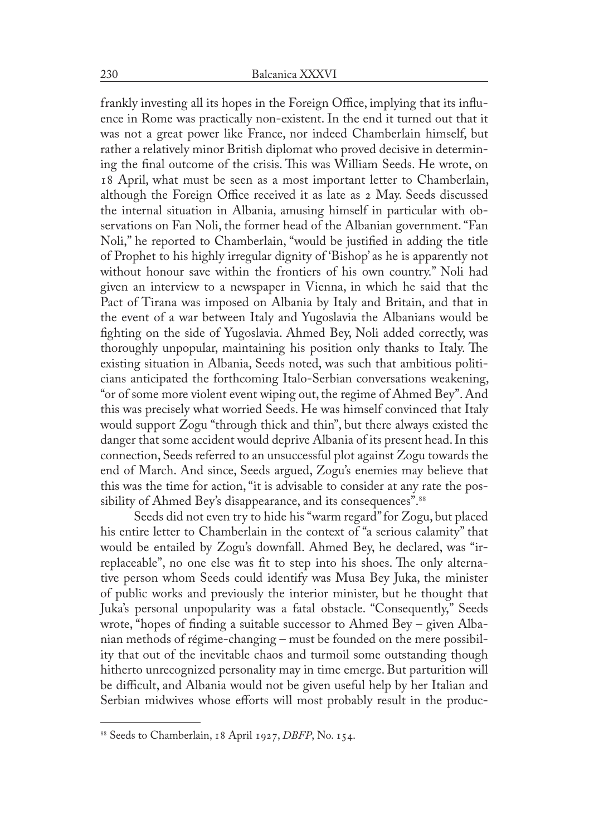frankly investing all its hopes in the Foreign Office, implying that its influence in Rome was practically non-existent. In the end it turned out that it was not a great power like France, nor indeed Chamberlain himself, but rather a relatively minor British diplomat who proved decisive in determining the final outcome of the crisis. This was William Seeds. He wrote, on 18 April, what must be seen as a most important letter to Chamberlain, although the Foreign Office received it as late as 2 May. Seeds discussed the internal situation in Albania, amusing himself in particular with observations on Fan Noli, the former head of the Albanian government. "Fan Noli," he reported to Chamberlain, "would be justified in adding the title of Prophet to his highly irregular dignity of 'Bishop' as he is apparently not without honour save within the frontiers of his own country." Noli had given an interview to a newspaper in Vienna, in which he said that the Pact of Tirana was imposed on Albania by Italy and Britain, and that in the event of a war between Italy and Yugoslavia the Albanians would be fighting on the side of Yugoslavia. Ahmed Bey, Noli added correctly, was thoroughly unpopular, maintaining his position only thanks to Italy. The existing situation in Albania, Seeds noted, was such that ambitious politicians anticipated the forthcoming Italo-Serbian conversations weakening, "or of some more violent event wiping out, the regime of Ahmed Bey". And this was precisely what worried Seeds. He was himself convinced that Italy would support Zogu "through thick and thin", but there always existed the danger that some accident would deprive Albania of its present head. In this connection, Seeds referred to an unsuccessful plot against Zogu towards the end of March. And since, Seeds argued, Zogu's enemies may believe that this was the time for action, "it is advisable to consider at any rate the possibility of Ahmed Bey's disappearance, and its consequences".<sup>88</sup>

Seeds did not even try to hide his "warm regard" for Zogu, but placed his entire letter to Chamberlain in the context of "a serious calamity" that would be entailed by Zogu's downfall. Ahmed Bey, he declared, was "irreplaceable", no one else was fit to step into his shoes. The only alternative person whom Seeds could identify was Musa Bey Juka, the minister of public works and previously the interior minister, but he thought that Juka's personal unpopularity was a fatal obstacle. "Consequently," Seeds wrote, "hopes of finding a suitable successor to Ahmed Bey – given Albanian methods of régime-changing – must be founded on the mere possibility that out of the inevitable chaos and turmoil some outstanding though hitherto unrecognized personality may in time emerge. But parturition will be difficult, and Albania would not be given useful help by her Italian and Serbian midwives whose efforts will most probably result in the produc-

<sup>88</sup> Seeds to Chamberlain, 18 April 1927, *DBFP*, No. 154.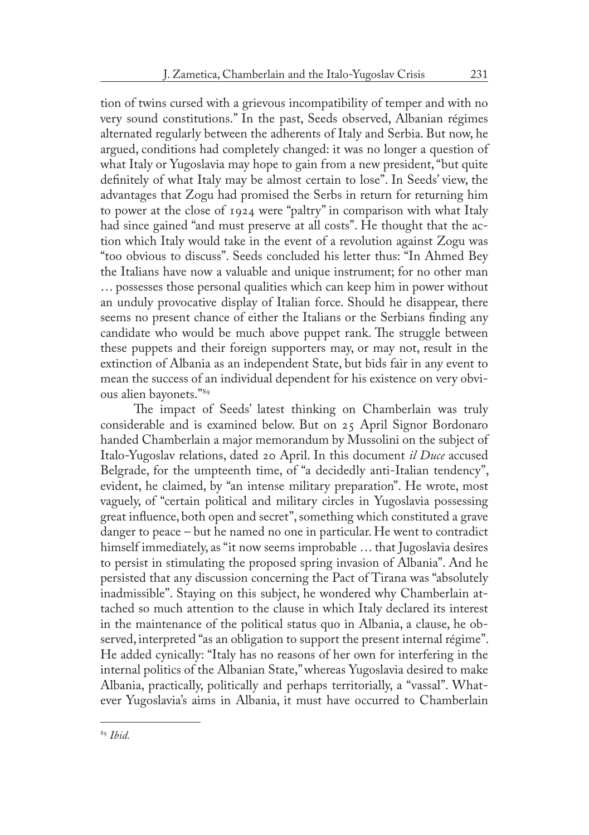tion of twins cursed with a grievous incompatibility of temper and with no very sound constitutions." In the past, Seeds observed, Albanian régimes alternated regularly between the adherents of Italy and Serbia. But now, he argued, conditions had completely changed: it was no longer a question of what Italy or Yugoslavia may hope to gain from a new president, "but quite definitely of what Italy may be almost certain to lose". In Seeds' view, the advantages that Zogu had promised the Serbs in return for returning him to power at the close of 1924 were "paltry" in comparison with what Italy had since gained "and must preserve at all costs". He thought that the action which Italy would take in the event of a revolution against Zogu was "too obvious to discuss". Seeds concluded his letter thus: "In Ahmed Bey the Italians have now a valuable and unique instrument; for no other man … possesses those personal qualities which can keep him in power without an unduly provocative display of Italian force. Should he disappear, there seems no present chance of either the Italians or the Serbians finding any candidate who would be much above puppet rank. The struggle between these puppets and their foreign supporters may, or may not, result in the extinction of Albania as an independent State, but bids fair in any event to mean the success of an individual dependent for his existence on very obvious alien bayonets."89

The impact of Seeds' latest thinking on Chamberlain was truly considerable and is examined below. But on 25 April Signor Bordonaro handed Chamberlain a major memorandum by Mussolini on the subject of Italo-Yugoslav relations, dated 20 April. In this document *il Duce* accused Belgrade, for the umpteenth time, of "a decidedly anti-Italian tendency", evident, he claimed, by "an intense military preparation". He wrote, most vaguely, of "certain political and military circles in Yugoslavia possessing great influence, both open and secret", something which constituted a grave danger to peace – but he named no one in particular. He went to contradict himself immediately, as "it now seems improbable … that Jugoslavia desires to persist in stimulating the proposed spring invasion of Albania". And he persisted that any discussion concerning the Pact of Tirana was "absolutely inadmissible". Staying on this subject, he wondered why Chamberlain attached so much attention to the clause in which Italy declared its interest in the maintenance of the political status quo in Albania, a clause, he observed, interpreted "as an obligation to support the present internal régime". He added cynically: "Italy has no reasons of her own for interfering in the internal politics of the Albanian State," whereas Yugoslavia desired to make Albania, practically, politically and perhaps territorially, a "vassal". Whatever Yugoslavia's aims in Albania, it must have occurred to Chamberlain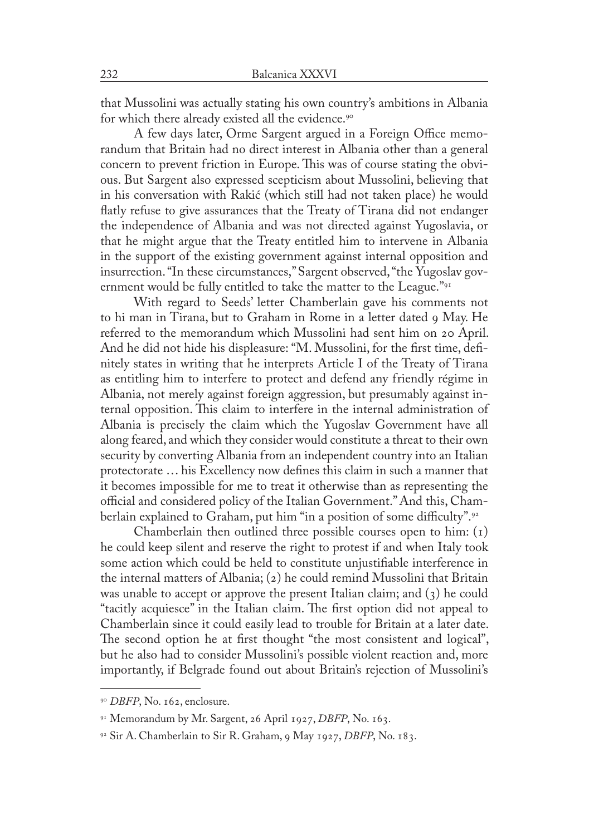that Mussolini was actually stating his own country's ambitions in Albania for which there already existed all the evidence.<sup>90</sup>

A few days later, Orme Sargent argued in a Foreign Office memorandum that Britain had no direct interest in Albania other than a general concern to prevent friction in Europe. This was of course stating the obvious. But Sargent also expressed scepticism about Mussolini, believing that in his conversation with Rakić (which still had not taken place) he would flatly refuse to give assurances that the Treaty of Tirana did not endanger the independence of Albania and was not directed against Yugoslavia, or that he might argue that the Treaty entitled him to intervene in Albania in the support of the existing government against internal opposition and insurrection. "In these circumstances," Sargent observed, "the Yugoslav government would be fully entitled to take the matter to the League."<sup>91</sup>

With regard to Seeds' letter Chamberlain gave his comments not to hi man in Tirana, but to Graham in Rome in a letter dated 9 May. He referred to the memorandum which Mussolini had sent him on 20 April. And he did not hide his displeasure: "M. Mussolini, for the first time, definitely states in writing that he interprets Article I of the Treaty of Tirana as entitling him to interfere to protect and defend any friendly régime in Albania, not merely against foreign aggression, but presumably against internal opposition. This claim to interfere in the internal administration of Albania is precisely the claim which the Yugoslav Government have all along feared, and which they consider would constitute a threat to their own security by converting Albania from an independent country into an Italian protectorate … his Excellency now defines this claim in such a manner that it becomes impossible for me to treat it otherwise than as representing the official and considered policy of the Italian Government." And this, Chamberlain explained to Graham, put him "in a position of some difficulty".92

Chamberlain then outlined three possible courses open to him:  $(i)$ he could keep silent and reserve the right to protest if and when Italy took some action which could be held to constitute unjustifiable interference in the internal matters of Albania; (2) he could remind Mussolini that Britain was unable to accept or approve the present Italian claim; and  $(3)$  he could "tacitly acquiesce" in the Italian claim. The first option did not appeal to Chamberlain since it could easily lead to trouble for Britain at a later date. The second option he at first thought "the most consistent and logical", but he also had to consider Mussolini's possible violent reaction and, more importantly, if Belgrade found out about Britain's rejection of Mussolini's

<sup>90</sup> *DBFP*, No. 162, enclosure.

<sup>91</sup> Memorandum by Mr. Sargent, 26 April 1927, *DBFP*, No. 163.

<sup>92</sup> Sir A. Chamberlain to Sir R. Graham, 9 May 1927, *DBFP*, No. 183.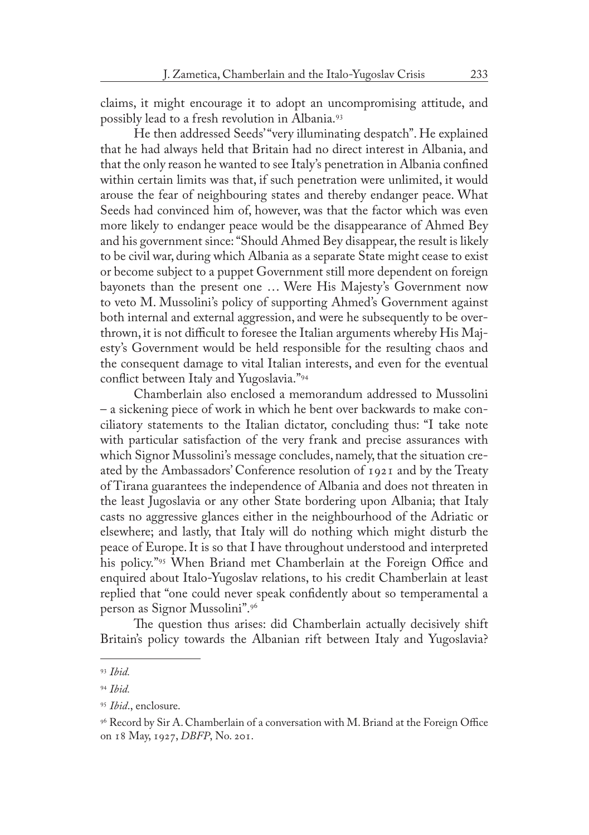claims, it might encourage it to adopt an uncompromising attitude, and possibly lead to a fresh revolution in Albania.93

He then addressed Seeds' "very illuminating despatch". He explained that he had always held that Britain had no direct interest in Albania, and that the only reason he wanted to see Italy's penetration in Albania confined within certain limits was that, if such penetration were unlimited, it would arouse the fear of neighbouring states and thereby endanger peace. What Seeds had convinced him of, however, was that the factor which was even more likely to endanger peace would be the disappearance of Ahmed Bey and his government since: "Should Ahmed Bey disappear, the result is likely to be civil war, during which Albania as a separate State might cease to exist or become subject to a puppet Government still more dependent on foreign bayonets than the present one … Were His Majesty's Government now to veto M. Mussolini's policy of supporting Ahmed's Government against both internal and external aggression, and were he subsequently to be overthrown, it is not difficult to foresee the Italian arguments whereby His Majesty's Government would be held responsible for the resulting chaos and the consequent damage to vital Italian interests, and even for the eventual conflict between Italy and Yugoslavia."94

Chamberlain also enclosed a memorandum addressed to Mussolini – a sickening piece of work in which he bent over backwards to make conciliatory statements to the Italian dictator, concluding thus: "I take note with particular satisfaction of the very frank and precise assurances with which Signor Mussolini's message concludes, namely, that the situation created by the Ambassadors' Conference resolution of 1921 and by the Treaty of Tirana guarantees the independence of Albania and does not threaten in the least Jugoslavia or any other State bordering upon Albania; that Italy casts no aggressive glances either in the neighbourhood of the Adriatic or elsewhere; and lastly, that Italy will do nothing which might disturb the peace of Europe. It is so that I have throughout understood and interpreted his policy."95 When Briand met Chamberlain at the Foreign Office and enquired about Italo-Yugoslav relations, to his credit Chamberlain at least replied that "one could never speak confidently about so temperamental a person as Signor Mussolini".96

The question thus arises: did Chamberlain actually decisively shift Britain's policy towards the Albanian rift between Italy and Yugoslavia?

<sup>93</sup> *Ibid.*

<sup>94</sup> *Ibid.*

<sup>95</sup> *Ibid*., enclosure.

<sup>96</sup> Record by Sir A. Chamberlain of a conversation with M. Briand at the Foreign Office on 18 May, 1927, *DBFP*, No. 201.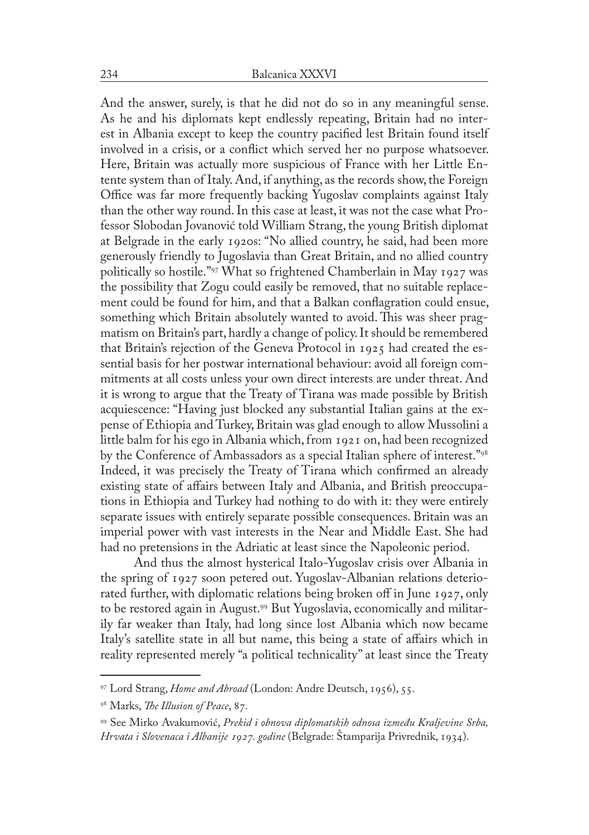And the answer, surely, is that he did not do so in any meaningful sense. As he and his diplomats kept endlessly repeating, Britain had no interest in Albania except to keep the country pacified lest Britain found itself involved in a crisis, or a conflict which served her no purpose whatsoever. Here, Britain was actually more suspicious of France with her Little Entente system than of Italy. And, if anything, as the records show, the Foreign Office was far more frequently backing Yugoslav complaints against Italy than the other way round. In this case at least, it was not the case what Professor Slobodan Jovanović told William Strang, the young British diplomat at Belgrade in the early 1920s: "No allied country, he said, had been more generously friendly to Jugoslavia than Great Britain, and no allied country politically so hostile."97 What so frightened Chamberlain in May 1927 was the possibility that Zogu could easily be removed, that no suitable replacement could be found for him, and that a Balkan conflagration could ensue, something which Britain absolutely wanted to avoid. This was sheer pragmatism on Britain's part, hardly a change of policy. It should be remembered that Britain's rejection of the Geneva Protocol in 1925 had created the essential basis for her postwar international behaviour: avoid all foreign commitments at all costs unless your own direct interests are under threat. And it is wrong to argue that the Treaty of Tirana was made possible by British acquiescence: "Having just blocked any substantial Italian gains at the expense of Ethiopia and Turkey, Britain was glad enough to allow Mussolini a little balm for his ego in Albania which, from 1921 on, had been recognized by the Conference of Ambassadors as a special Italian sphere of interest."98 Indeed, it was precisely the Treaty of Tirana which confirmed an already existing state of affairs between Italy and Albania, and British preoccupations in Ethiopia and Turkey had nothing to do with it: they were entirely separate issues with entirely separate possible consequences. Britain was an imperial power with vast interests in the Near and Middle East. She had had no pretensions in the Adriatic at least since the Napoleonic period.

And thus the almost hysterical Italo-Yugoslav crisis over Albania in the spring of 1927 soon petered out. Yugoslav-Albanian relations deteriorated further, with diplomatic relations being broken off in June 1927, only to be restored again in August.99 But Yugoslavia, economically and militarily far weaker than Italy, had long since lost Albania which now became Italy's satellite state in all but name, this being a state of affairs which in reality represented merely "a political technicality" at least since the Treaty

<sup>97</sup> Lord Strang, *Home and Abroad* (London: Andre Deutsch, 1956), 55.

<sup>98</sup> Marks, *The Illusion of Peace*, 87.

<sup>99</sup> See Mirko Avakumović, *Prekid i obnova diplomatskih odnosa između Kraljevine Srba, Hrvata i Slovenaca i Albanije 1927. godine* (Belgrade: Štamparija Privrednik, 1934).